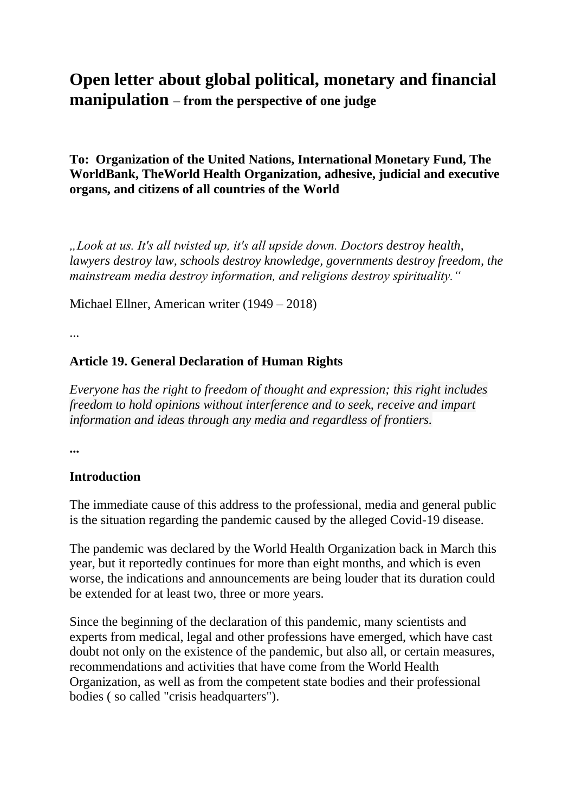# **Open letter about global political, monetary and financial manipulation – from the perspective of one judge**

### **To: Organization of the United Nations, International Monetary Fund, The WorldBank, TheWorld Health Organization, adhesive, judicial and executive organs, and citizens of all countries of the World**

*"Look at us. It's all twisted up, it's all upside down. Doctors destroy health, lawyers destroy law, schools destroy knowledge, governments destroy freedom, the mainstream media destroy information, and religions destroy spirituality."*

Michael Ellner, American writer (1949 – 2018)

...

### **Article 19. General Declaration of Human Rights**

*Everyone has the right to freedom of thought and expression; this right includes freedom to hold opinions without interference and to seek, receive and impart information and ideas through any media and regardless of frontiers.*

**...**

### **Introduction**

The immediate cause of this address to the professional, media and general public is the situation regarding the pandemic caused by the alleged Covid-19 disease.

The pandemic was declared by the World Health Organization back in March this year, but it reportedly continues for more than eight months, and which is even worse, the indications and announcements are being louder that its duration could be extended for at least two, three or more years.

Since the beginning of the declaration of this pandemic, many scientists and experts from medical, legal and other professions have emerged, which have cast doubt not only on the existence of the pandemic, but also all, or certain measures, recommendations and activities that have come from the World Health Organization, as well as from the competent state bodies and their professional bodies ( so called "crisis headquarters").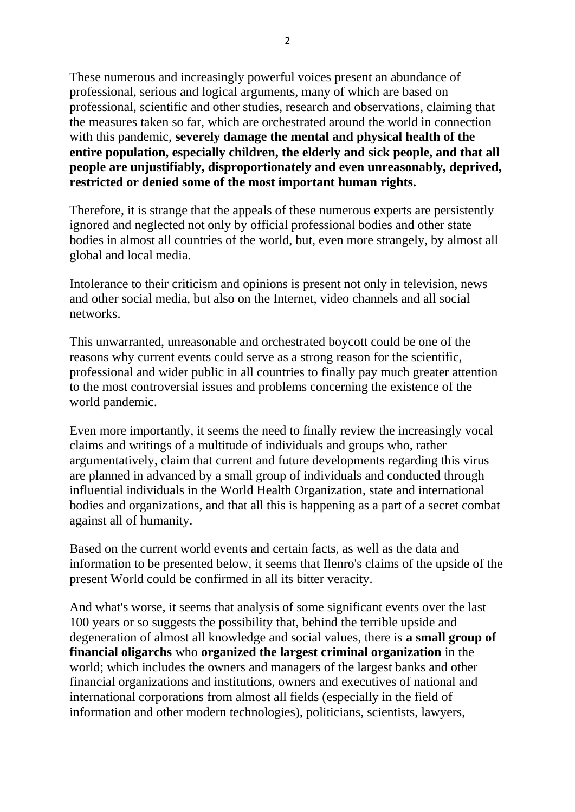These numerous and increasingly powerful voices present an abundance of professional, serious and logical arguments, many of which are based on professional, scientific and other studies, research and observations, claiming that the measures taken so far, which are orchestrated around the world in connection with this pandemic, **severely damage the mental and physical health of the entire population, especially children, the elderly and sick people, and that all people are unjustifiably, disproportionately and even unreasonably, deprived, restricted or denied some of the most important human rights.**

Therefore, it is strange that the appeals of these numerous experts are persistently ignored and neglected not only by official professional bodies and other state bodies in almost all countries of the world, but, even more strangely, by almost all global and local media.

Intolerance to their criticism and opinions is present not only in television, news and other social media, but also on the Internet, video channels and all social networks.

This unwarranted, unreasonable and orchestrated boycott could be one of the reasons why current events could serve as a strong reason for the scientific, professional and wider public in all countries to finally pay much greater attention to the most controversial issues and problems concerning the existence of the world pandemic.

Even more importantly, it seems the need to finally review the increasingly vocal claims and writings of a multitude of individuals and groups who, rather argumentatively, claim that current and future developments regarding this virus are planned in advanced by a small group of individuals and conducted through influential individuals in the World Health Organization, state and international bodies and organizations, and that all this is happening as a part of a secret combat against all of humanity.

Based on the current world events and certain facts, as well as the data and information to be presented below, it seems that Ilenro's claims of the upside of the present World could be confirmed in all its bitter veracity.

And what's worse, it seems that analysis of some significant events over the last 100 years or so suggests the possibility that, behind the terrible upside and degeneration of almost all knowledge and social values, there is **a small group of financial oligarchs** who **organized the largest criminal organization** in the world; which includes the owners and managers of the largest banks and other financial organizations and institutions, owners and executives of national and international corporations from almost all fields (especially in the field of information and other modern technologies), politicians, scientists, lawyers,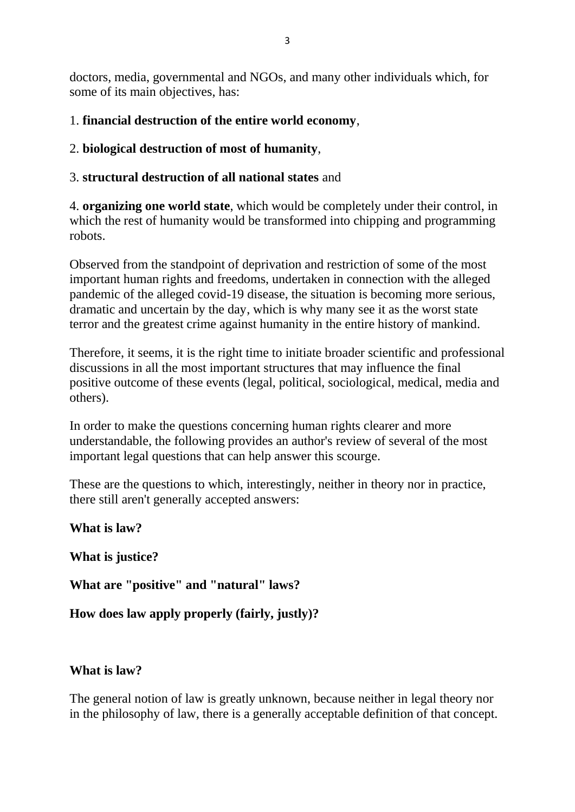doctors, media, governmental and NGOs, and many other individuals which, for some of its main objectives, has:

# 1. **financial destruction of the entire world economy**,

### 2. **biological destruction of most of humanity**,

### 3. **structural destruction of all national states** and

4. **organizing one world state**, which would be completely under their control, in which the rest of humanity would be transformed into chipping and programming robots.

Observed from the standpoint of deprivation and restriction of some of the most important human rights and freedoms, undertaken in connection with the alleged pandemic of the alleged covid-19 disease, the situation is becoming more serious, dramatic and uncertain by the day, which is why many see it as the worst state terror and the greatest crime against humanity in the entire history of mankind.

Therefore, it seems, it is the right time to initiate broader scientific and professional discussions in all the most important structures that may influence the final positive outcome of these events (legal, political, sociological, medical, media and others).

In order to make the questions concerning human rights clearer and more understandable, the following provides an author's review of several of the most important legal questions that can help answer this scourge.

These are the questions to which, interestingly, neither in theory nor in practice, there still aren't generally accepted answers:

**What is law?**

**What is justice?**

**What are "positive" and "natural" laws?**

**How does law apply properly (fairly, justly)?**

### **What is law?**

The general notion of law is greatly unknown, because neither in legal theory nor in the philosophy of law, there is a generally acceptable definition of that concept.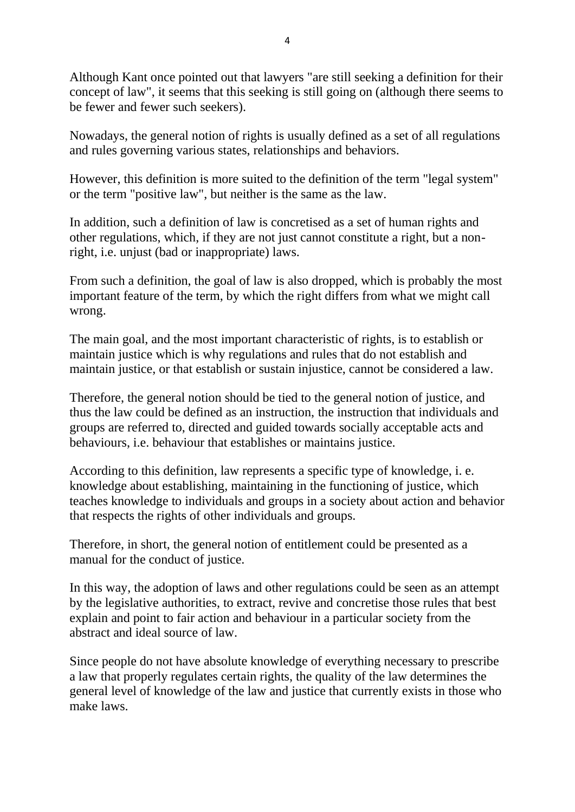Although Kant once pointed out that lawyers "are still seeking a definition for their concept of law", it seems that this seeking is still going on (although there seems to be fewer and fewer such seekers).

Nowadays, the general notion of rights is usually defined as a set of all regulations and rules governing various states, relationships and behaviors.

However, this definition is more suited to the definition of the term "legal system" or the term "positive law", but neither is the same as the law.

In addition, such a definition of law is concretised as a set of human rights and other regulations, which, if they are not just cannot constitute a right, but a nonright, i.e. unjust (bad or inappropriate) laws.

From such a definition, the goal of law is also dropped, which is probably the most important feature of the term, by which the right differs from what we might call wrong.

The main goal, and the most important characteristic of rights, is to establish or maintain justice which is why regulations and rules that do not establish and maintain justice, or that establish or sustain injustice, cannot be considered a law.

Therefore, the general notion should be tied to the general notion of justice, and thus the law could be defined as an instruction, the instruction that individuals and groups are referred to, directed and guided towards socially acceptable acts and behaviours, i.e. behaviour that establishes or maintains justice.

According to this definition, law represents a specific type of knowledge, i. e. knowledge about establishing, maintaining in the functioning of justice, which teaches knowledge to individuals and groups in a society about action and behavior that respects the rights of other individuals and groups.

Therefore, in short, the general notion of entitlement could be presented as a manual for the conduct of justice.

In this way, the adoption of laws and other regulations could be seen as an attempt by the legislative authorities, to extract, revive and concretise those rules that best explain and point to fair action and behaviour in a particular society from the abstract and ideal source of law.

Since people do not have absolute knowledge of everything necessary to prescribe a law that properly regulates certain rights, the quality of the law determines the general level of knowledge of the law and justice that currently exists in those who make laws.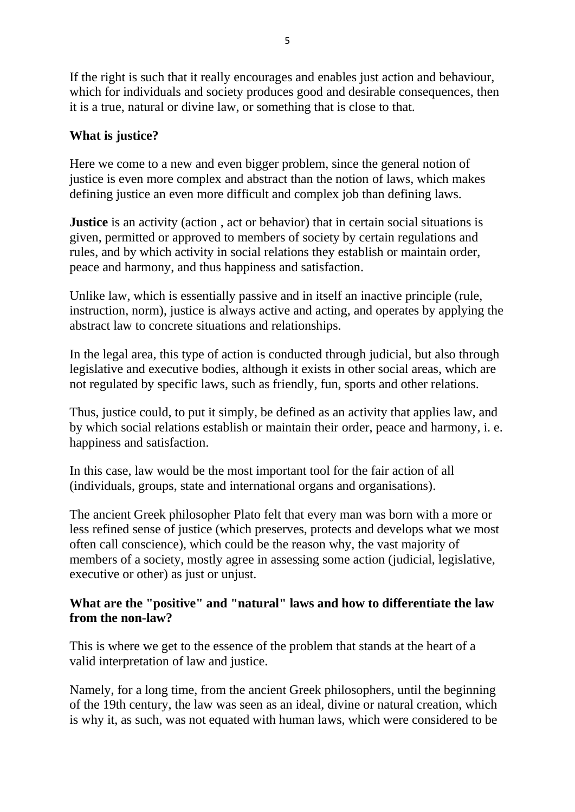If the right is such that it really encourages and enables just action and behaviour, which for individuals and society produces good and desirable consequences, then it is a true, natural or divine law, or something that is close to that.

# **What is justice?**

Here we come to a new and even bigger problem, since the general notion of justice is even more complex and abstract than the notion of laws, which makes defining justice an even more difficult and complex job than defining laws.

**Justice** is an activity (action, act or behavior) that in certain social situations is given, permitted or approved to members of society by certain regulations and rules, and by which activity in social relations they establish or maintain order, peace and harmony, and thus happiness and satisfaction.

Unlike law, which is essentially passive and in itself an inactive principle (rule, instruction, norm), justice is always active and acting, and operates by applying the abstract law to concrete situations and relationships.

In the legal area, this type of action is conducted through judicial, but also through legislative and executive bodies, although it exists in other social areas, which are not regulated by specific laws, such as friendly, fun, sports and other relations.

Thus, justice could, to put it simply, be defined as an activity that applies law, and by which social relations establish or maintain their order, peace and harmony, i. e. happiness and satisfaction.

In this case, law would be the most important tool for the fair action of all (individuals, groups, state and international organs and organisations).

The ancient Greek philosopher Plato felt that every man was born with a more or less refined sense of justice (which preserves, protects and develops what we most often call conscience), which could be the reason why, the vast majority of members of a society, mostly agree in assessing some action (judicial, legislative, executive or other) as just or unjust.

### **What are the "positive" and "natural" laws and how to differentiate the law from the non-law?**

This is where we get to the essence of the problem that stands at the heart of a valid interpretation of law and justice.

Namely, for a long time, from the ancient Greek philosophers, until the beginning of the 19th century, the law was seen as an ideal, divine or natural creation, which is why it, as such, was not equated with human laws, which were considered to be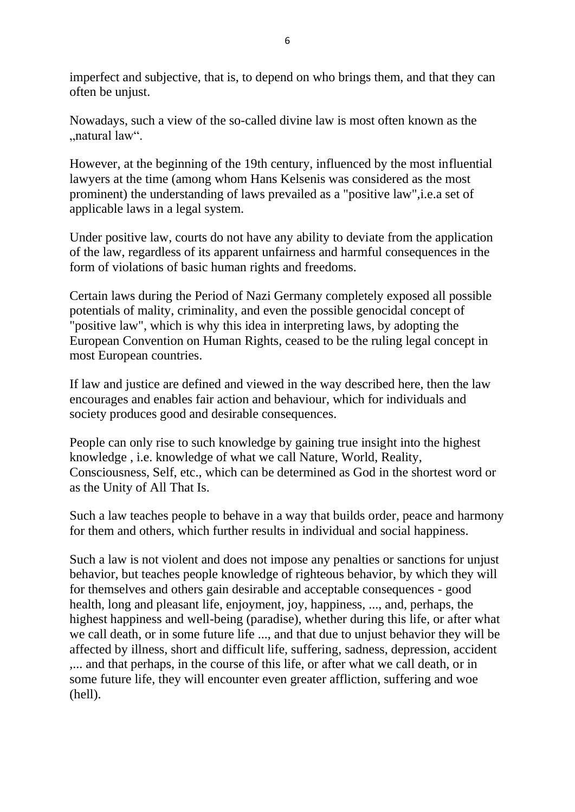imperfect and subjective, that is, to depend on who brings them, and that they can often be unjust.

Nowadays, such a view of the so-called divine law is most often known as the "natural law".

However, at the beginning of the 19th century, influenced by the most influential lawyers at the time (among whom Hans Kelsenis was considered as the most prominent) the understanding of laws prevailed as a "positive law",i.e.a set of applicable laws in a legal system.

Under positive law, courts do not have any ability to deviate from the application of the law, regardless of its apparent unfairness and harmful consequences in the form of violations of basic human rights and freedoms.

Certain laws during the Period of Nazi Germany completely exposed all possible potentials of mality, criminality, and even the possible genocidal concept of "positive law", which is why this idea in interpreting laws, by adopting the European Convention on Human Rights, ceased to be the ruling legal concept in most European countries.

If law and justice are defined and viewed in the way described here, then the law encourages and enables fair action and behaviour, which for individuals and society produces good and desirable consequences.

People can only rise to such knowledge by gaining true insight into the highest knowledge , i.e. knowledge of what we call Nature, World, Reality, Consciousness, Self, etc., which can be determined as God in the shortest word or as the Unity of All That Is.

Such a law teaches people to behave in a way that builds order, peace and harmony for them and others, which further results in individual and social happiness.

Such a law is not violent and does not impose any penalties or sanctions for unjust behavior, but teaches people knowledge of righteous behavior, by which they will for themselves and others gain desirable and acceptable consequences - good health, long and pleasant life, enjoyment, joy, happiness, ..., and, perhaps, the highest happiness and well-being (paradise), whether during this life, or after what we call death, or in some future life ..., and that due to unjust behavior they will be affected by illness, short and difficult life, suffering, sadness, depression, accident ,... and that perhaps, in the course of this life, or after what we call death, or in some future life, they will encounter even greater affliction, suffering and woe (hell).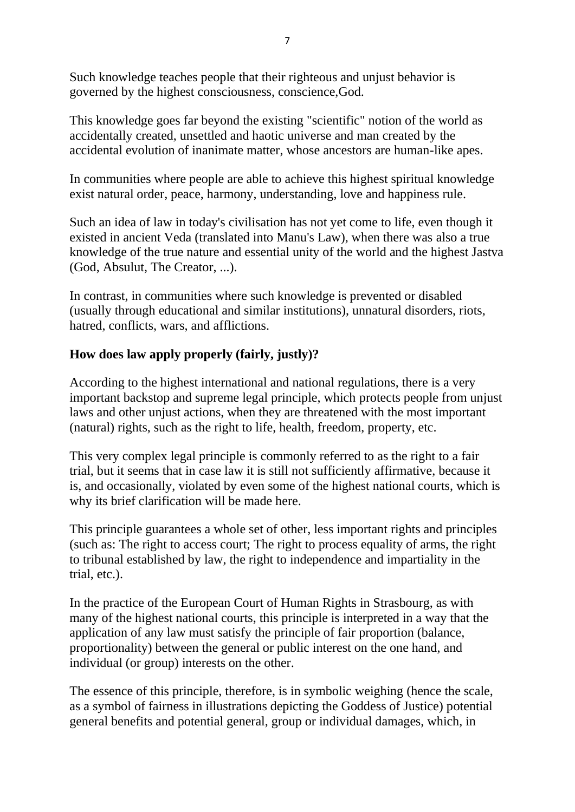Such knowledge teaches people that their righteous and unjust behavior is governed by the highest consciousness, conscience,God.

This knowledge goes far beyond the existing "scientific" notion of the world as accidentally created, unsettled and haotic universe and man created by the accidental evolution of inanimate matter, whose ancestors are human-like apes.

In communities where people are able to achieve this highest spiritual knowledge exist natural order, peace, harmony, understanding, love and happiness rule.

Such an idea of law in today's civilisation has not yet come to life, even though it existed in ancient Veda (translated into Manu's Law), when there was also a true knowledge of the true nature and essential unity of the world and the highest Jastva (God, Absulut, The Creator, ...).

In contrast, in communities where such knowledge is prevented or disabled (usually through educational and similar institutions), unnatural disorders, riots, hatred, conflicts, wars, and afflictions.

### **How does law apply properly (fairly, justly)?**

According to the highest international and national regulations, there is a very important backstop and supreme legal principle, which protects people from unjust laws and other unjust actions, when they are threatened with the most important (natural) rights, such as the right to life, health, freedom, property, etc.

This very complex legal principle is commonly referred to as the right to a fair trial, but it seems that in case law it is still not sufficiently affirmative, because it is, and occasionally, violated by even some of the highest national courts, which is why its brief clarification will be made here.

This principle guarantees a whole set of other, less important rights and principles (such as: The right to access court; The right to process equality of arms, the right to tribunal established by law, the right to independence and impartiality in the trial, etc.).

In the practice of the European Court of Human Rights in Strasbourg, as with many of the highest national courts, this principle is interpreted in a way that the application of any law must satisfy the principle of fair proportion (balance, proportionality) between the general or public interest on the one hand, and individual (or group) interests on the other.

The essence of this principle, therefore, is in symbolic weighing (hence the scale, as a symbol of fairness in illustrations depicting the Goddess of Justice) potential general benefits and potential general, group or individual damages, which, in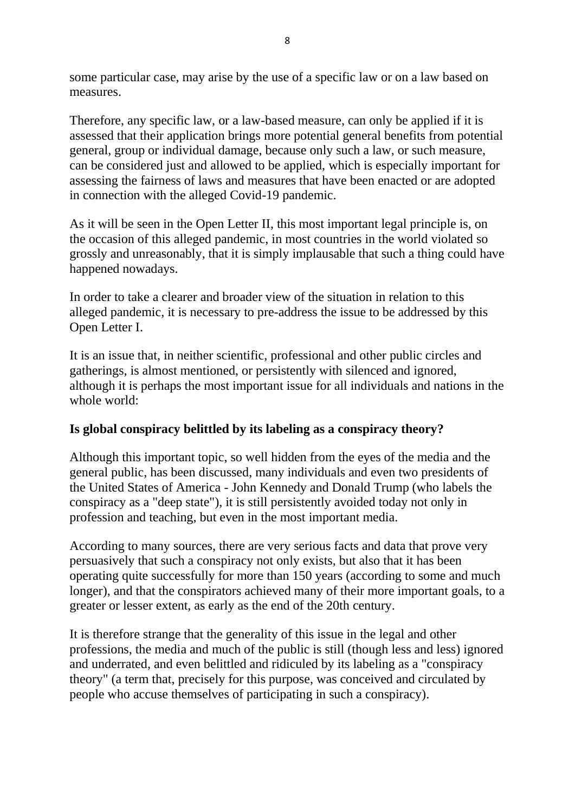some particular case, may arise by the use of a specific law or on a law based on measures.

Therefore, any specific law, or a law-based measure, can only be applied if it is assessed that their application brings more potential general benefits from potential general, group or individual damage, because only such a law, or such measure, can be considered just and allowed to be applied, which is especially important for assessing the fairness of laws and measures that have been enacted or are adopted in connection with the alleged Covid-19 pandemic.

As it will be seen in the Open Letter II, this most important legal principle is, on the occasion of this alleged pandemic, in most countries in the world violated so grossly and unreasonably, that it is simply implausable that such a thing could have happened nowadays.

In order to take a clearer and broader view of the situation in relation to this alleged pandemic, it is necessary to pre-address the issue to be addressed by this Open Letter I.

It is an issue that, in neither scientific, professional and other public circles and gatherings, is almost mentioned, or persistently with silenced and ignored, although it is perhaps the most important issue for all individuals and nations in the whole world:

### **Is global conspiracy belittled by its labeling as a conspiracy theory?**

Although this important topic, so well hidden from the eyes of the media and the general public, has been discussed, many individuals and even two presidents of the United States of America - John Kennedy and Donald Trump (who labels the conspiracy as a "deep state"), it is still persistently avoided today not only in profession and teaching, but even in the most important media.

According to many sources, there are very serious facts and data that prove very persuasively that such a conspiracy not only exists, but also that it has been operating quite successfully for more than 150 years (according to some and much longer), and that the conspirators achieved many of their more important goals, to a greater or lesser extent, as early as the end of the 20th century.

It is therefore strange that the generality of this issue in the legal and other professions, the media and much of the public is still (though less and less) ignored and underrated, and even belittled and ridiculed by its labeling as a "conspiracy theory" (a term that, precisely for this purpose, was conceived and circulated by people who accuse themselves of participating in such a conspiracy).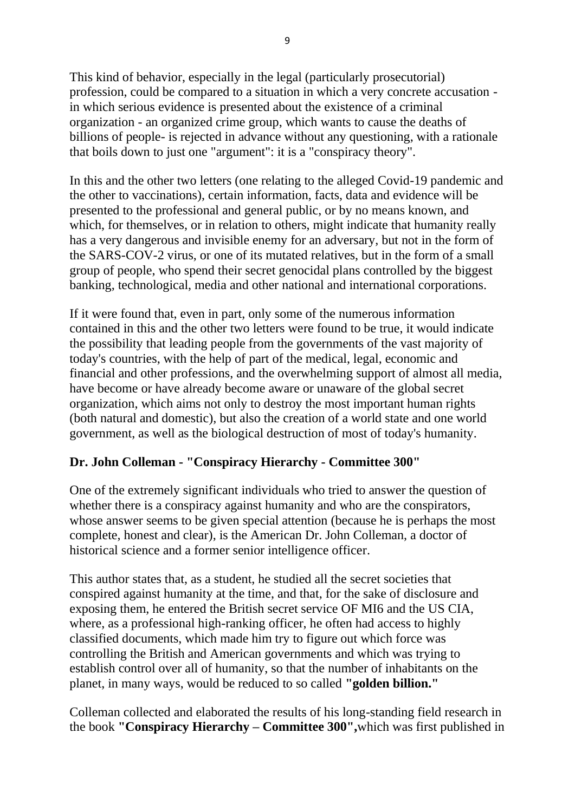This kind of behavior, especially in the legal (particularly prosecutorial) profession, could be compared to a situation in which a very concrete accusation in which serious evidence is presented about the existence of a criminal organization - an organized crime group, which wants to cause the deaths of billions of people- is rejected in advance without any questioning, with a rationale that boils down to just one "argument": it is a "conspiracy theory".

In this and the other two letters (one relating to the alleged Covid-19 pandemic and the other to vaccinations), certain information, facts, data and evidence will be presented to the professional and general public, or by no means known, and which, for themselves, or in relation to others, might indicate that humanity really has a very dangerous and invisible enemy for an adversary, but not in the form of the SARS-COV-2 virus, or one of its mutated relatives, but in the form of a small group of people, who spend their secret genocidal plans controlled by the biggest banking, technological, media and other national and international corporations.

If it were found that, even in part, only some of the numerous information contained in this and the other two letters were found to be true, it would indicate the possibility that leading people from the governments of the vast majority of today's countries, with the help of part of the medical, legal, economic and financial and other professions, and the overwhelming support of almost all media, have become or have already become aware or unaware of the global secret organization, which aims not only to destroy the most important human rights (both natural and domestic), but also the creation of a world state and one world government, as well as the biological destruction of most of today's humanity.

### **Dr. John Colleman - "Conspiracy Hierarchy - Committee 300"**

One of the extremely significant individuals who tried to answer the question of whether there is a conspiracy against humanity and who are the conspirators, whose answer seems to be given special attention (because he is perhaps the most complete, honest and clear), is the American Dr. John Colleman, a doctor of historical science and a former senior intelligence officer.

This author states that, as a student, he studied all the secret societies that conspired against humanity at the time, and that, for the sake of disclosure and exposing them, he entered the British secret service OF MI6 and the US CIA, where, as a professional high-ranking officer, he often had access to highly classified documents, which made him try to figure out which force was controlling the British and American governments and which was trying to establish control over all of humanity, so that the number of inhabitants on the planet, in many ways, would be reduced to so called **"golden billion."**

Colleman collected and elaborated the results of his long-standing field research in the book **"Conspiracy Hierarchy – Committee 300",**which was first published in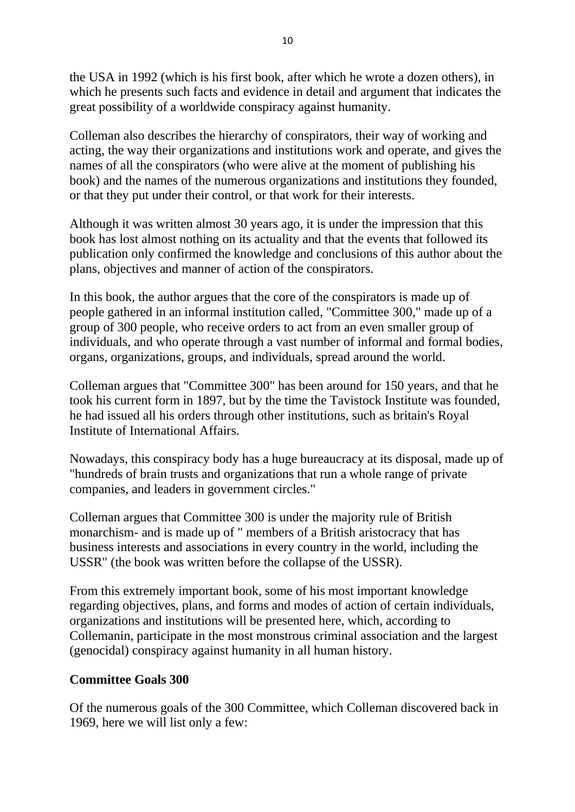the USA in 1992 (which is his first book, after which he wrote a dozen others), in which he presents such facts and evidence in detail and argument that indicates the great possibility of a worldwide conspiracy against humanity.

Colleman also describes the hierarchy of conspirators, their way of working and acting, the way their organizations and institutions work and operate, and gives the names of all the conspirators (who were alive at the moment of publishing his book) and the names of the numerous organizations and institutions they founded, or that they put under their control, or that work for their interests.

Although it was written almost 30 years ago, it is under the impression that this book has lost almost nothing on its actuality and that the events that followed its publication only confirmed the knowledge and conclusions of this author about the plans, objectives and manner of action of the conspirators.

In this book, the author argues that the core of the conspirators is made up of people gathered in an informal institution called, "Committee 300," made up of a group of 300 people, who receive orders to act from an even smaller group of individuals, and who operate through a vast number of informal and formal bodies, organs, organizations, groups, and individuals, spread around the world.

Colleman argues that "Committee 300" has been around for 150 years, and that he took his current form in 1897, but by the time the Tavistock Institute was founded, he had issued all his orders through other institutions, such as britain's Royal Institute of International Affairs.

Nowadays, this conspiracy body has a huge bureaucracy at its disposal, made up of "hundreds of brain trusts and organizations that run a whole range of private companies, and leaders in government circles."

Colleman argues that Committee 300 is under the majority rule of British monarchism- and is made up of " members of a British aristocracy that has business interests and associations in every country in the world, including the USSR" (the book was written before the collapse of the USSR).

From this extremely important book, some of his most important knowledge regarding objectives, plans, and forms and modes of action of certain individuals, organizations and institutions will be presented here, which, according to Collemanin, participate in the most monstrous criminal association and the largest (genocidal) conspiracy against humanity in all human history.

### **Committee Goals 300**

Of the numerous goals of the 300 Committee, which Colleman discovered back in 1969, here we will list only a few: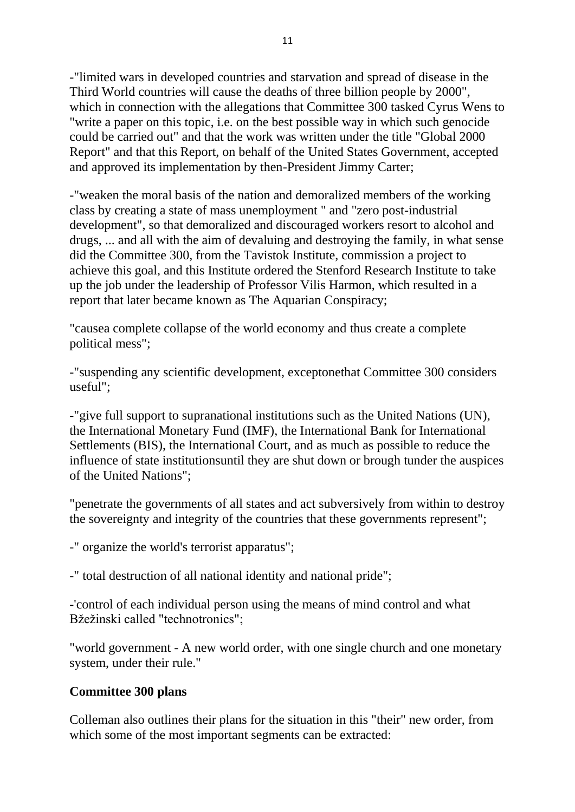-"limited wars in developed countries and starvation and spread of disease in the Third World countries will cause the deaths of three billion people by 2000", which in connection with the allegations that Committee 300 tasked Cyrus Wens to "write a paper on this topic, i.e. on the best possible way in which such genocide could be carried out" and that the work was written under the title "Global 2000 Report" and that this Report, on behalf of the United States Government, accepted and approved its implementation by then-President Jimmy Carter;

-"weaken the moral basis of the nation and demoralized members of the working class by creating a state of mass unemployment " and "zero post-industrial development", so that demoralized and discouraged workers resort to alcohol and drugs, ... and all with the aim of devaluing and destroying the family, in what sense did the Committee 300, from the Tavistok Institute, commission a project to achieve this goal, and this Institute ordered the Stenford Research Institute to take up the job under the leadership of Professor Vilis Harmon, which resulted in a report that later became known as The Aquarian Conspiracy;

"causea complete collapse of the world economy and thus create a complete political mess";

-"suspending any scientific development, exceptonethat Committee 300 considers useful";

-"give full support to supranational institutions such as the United Nations (UN), the International Monetary Fund (IMF), the International Bank for International Settlements (BIS), the International Court, and as much as possible to reduce the influence of state institutionsuntil they are shut down or brough tunder the auspices of the United Nations";

"penetrate the governments of all states and act subversively from within to destroy the sovereignty and integrity of the countries that these governments represent";

-" organize the world's terrorist apparatus";

-" total destruction of all national identity and national pride";

-'control of each individual person using the means of mind control and what Bžežinski called "technotronics";

"world government - A new world order, with one single church and one monetary system, under their rule."

#### **Committee 300 plans**

Colleman also outlines their plans for the situation in this "their" new order, from which some of the most important segments can be extracted: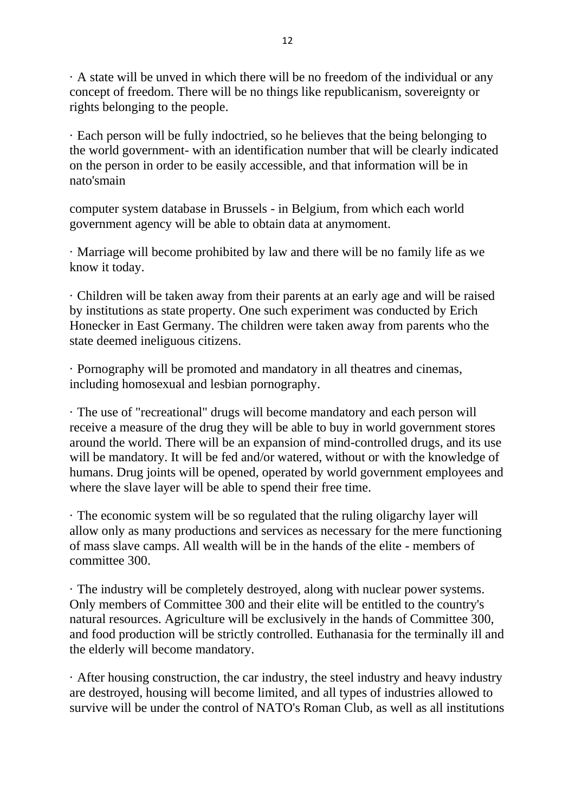· A state will be unved in which there will be no freedom of the individual or any concept of freedom. There will be no things like republicanism, sovereignty or rights belonging to the people.

· Each person will be fully indoctried, so he believes that the being belonging to the world government- with an identification number that will be clearly indicated on the person in order to be easily accessible, and that information will be in nato'smain

computer system database in Brussels - in Belgium, from which each world government agency will be able to obtain data at anymoment.

· Marriage will become prohibited by law and there will be no family life as we know it today.

· Children will be taken away from their parents at an early age and will be raised by institutions as state property. One such experiment was conducted by Erich Honecker in East Germany. The children were taken away from parents who the state deemed ineliguous citizens.

· Pornography will be promoted and mandatory in all theatres and cinemas, including homosexual and lesbian pornography.

· The use of "recreational" drugs will become mandatory and each person will receive a measure of the drug they will be able to buy in world government stores around the world. There will be an expansion of mind-controlled drugs, and its use will be mandatory. It will be fed and/or watered, without or with the knowledge of humans. Drug joints will be opened, operated by world government employees and where the slave layer will be able to spend their free time.

· The economic system will be so regulated that the ruling oligarchy layer will allow only as many productions and services as necessary for the mere functioning of mass slave camps. All wealth will be in the hands of the elite - members of committee 300.

· The industry will be completely destroyed, along with nuclear power systems. Only members of Committee 300 and their elite will be entitled to the country's natural resources. Agriculture will be exclusively in the hands of Committee 300, and food production will be strictly controlled. Euthanasia for the terminally ill and the elderly will become mandatory.

· After housing construction, the car industry, the steel industry and heavy industry are destroyed, housing will become limited, and all types of industries allowed to survive will be under the control of NATO's Roman Club, as well as all institutions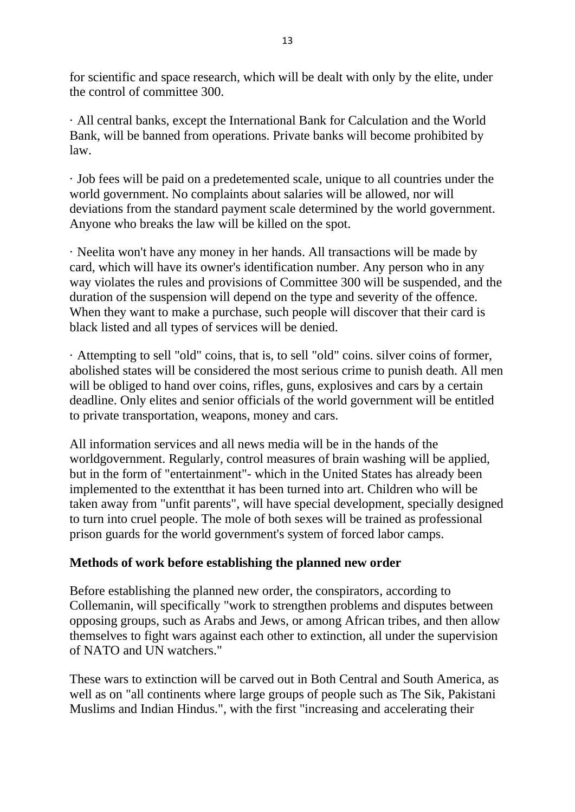for scientific and space research, which will be dealt with only by the elite, under the control of committee 300.

· All central banks, except the International Bank for Calculation and the World Bank, will be banned from operations. Private banks will become prohibited by law.

· Job fees will be paid on a predetemented scale, unique to all countries under the world government. No complaints about salaries will be allowed, nor will deviations from the standard payment scale determined by the world government. Anyone who breaks the law will be killed on the spot.

· Neelita won't have any money in her hands. All transactions will be made by card, which will have its owner's identification number. Any person who in any way violates the rules and provisions of Committee 300 will be suspended, and the duration of the suspension will depend on the type and severity of the offence. When they want to make a purchase, such people will discover that their card is black listed and all types of services will be denied.

· Attempting to sell "old" coins, that is, to sell "old" coins. silver coins of former, abolished states will be considered the most serious crime to punish death. All men will be obliged to hand over coins, rifles, guns, explosives and cars by a certain deadline. Only elites and senior officials of the world government will be entitled to private transportation, weapons, money and cars.

All information services and all news media will be in the hands of the worldgovernment. Regularly, control measures of brain washing will be applied, but in the form of "entertainment"- which in the United States has already been implemented to the extentthat it has been turned into art. Children who will be taken away from "unfit parents", will have special development, specially designed to turn into cruel people. The mole of both sexes will be trained as professional prison guards for the world government's system of forced labor camps.

#### **Methods of work before establishing the planned new order**

Before establishing the planned new order, the conspirators, according to Collemanin, will specifically "work to strengthen problems and disputes between opposing groups, such as Arabs and Jews, or among African tribes, and then allow themselves to fight wars against each other to extinction, all under the supervision of NATO and UN watchers."

These wars to extinction will be carved out in Both Central and South America, as well as on "all continents where large groups of people such as The Sik, Pakistani Muslims and Indian Hindus.", with the first "increasing and accelerating their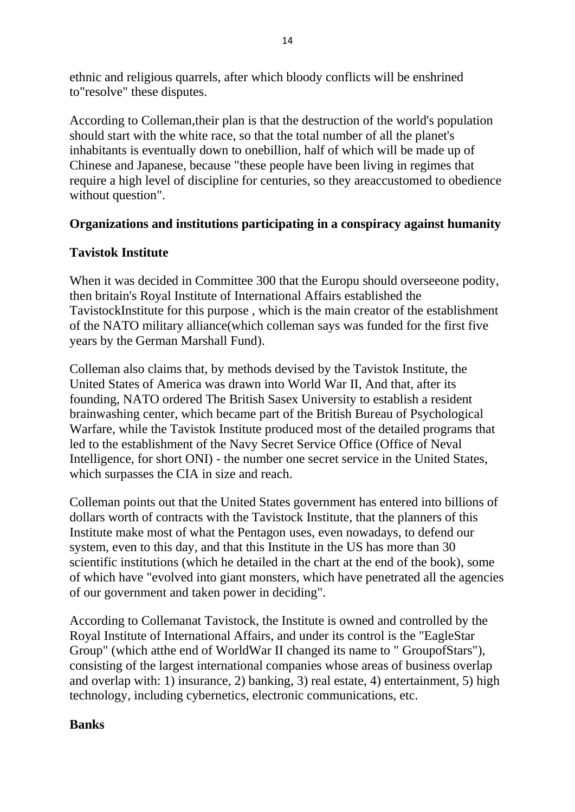ethnic and religious quarrels, after which bloody conflicts will be enshrined to"resolve" these disputes.

According to Colleman,their plan is that the destruction of the world's population should start with the white race, so that the total number of all the planet's inhabitants is eventually down to onebillion, half of which will be made up of Chinese and Japanese, because "these people have been living in regimes that require a high level of discipline for centuries, so they areaccustomed to obedience without question".

### **Organizations and institutions participating in a conspiracy against humanity**

### **Tavistok Institute**

When it was decided in Committee 300 that the Europu should overseeone podity, then britain's Royal Institute of International Affairs established the TavistockInstitute for this purpose , which is the main creator of the establishment of the NATO military alliance(which colleman says was funded for the first five years by the German Marshall Fund).

Colleman also claims that, by methods devised by the Tavistok Institute, the United States of America was drawn into World War II, And that, after its founding, NATO ordered The British Sasex University to establish a resident brainwashing center, which became part of the British Bureau of Psychological Warfare, while the Tavistok Institute produced most of the detailed programs that led to the establishment of the Navy Secret Service Office (Office of Neval Intelligence, for short ONI) - the number one secret service in the United States, which surpasses the CIA in size and reach.

Colleman points out that the United States government has entered into billions of dollars worth of contracts with the Tavistock Institute, that the planners of this Institute make most of what the Pentagon uses, even nowadays, to defend our system, even to this day, and that this Institute in the US has more than 30 scientific institutions (which he detailed in the chart at the end of the book), some of which have "evolved into giant monsters, which have penetrated all the agencies of our government and taken power in deciding".

According to Collemanat Tavistock, the Institute is owned and controlled by the Royal Institute of International Affairs, and under its control is the "EagleStar Group" (which atthe end of WorldWar II changed its name to " GroupofStars"), consisting of the largest international companies whose areas of business overlap and overlap with: 1) insurance, 2) banking, 3) real estate, 4) entertainment, 5) high technology, including cybernetics, electronic communications, etc.

### **Banks**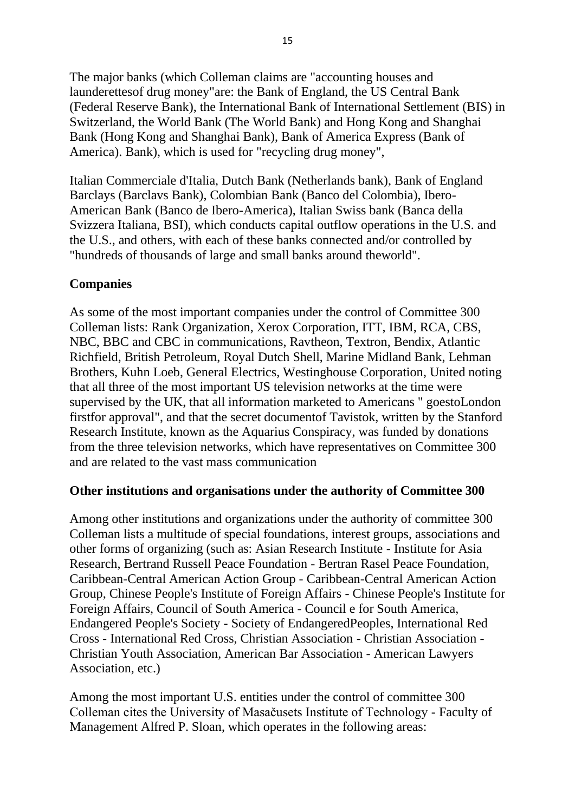The major banks (which Colleman claims are "accounting houses and launderettesof drug money"are: the Bank of England, the US Central Bank (Federal Reserve Bank), the International Bank of International Settlement (BIS) in Switzerland, the World Bank (The World Bank) and Hong Kong and Shanghai Bank (Hong Kong and Shanghai Bank), Bank of America Express (Bank of America). Bank), which is used for "recycling drug money",

Italian Commerciale d'Italia, Dutch Bank (Netherlands bank), Bank of England Barclays (Barclavs Bank), Colombian Bank (Banco del Colombia), Ibero-American Bank (Banco de Ibero-America), Italian Swiss bank (Banca della Svizzera Italiana, BSI), which conducts capital outflow operations in the U.S. and the U.S., and others, with each of these banks connected and/or controlled by "hundreds of thousands of large and small banks around theworld".

### **Companies**

As some of the most important companies under the control of Committee 300 Colleman lists: Rank Organization, Xerox Corporation, ITT, IBM, RCA, CBS, NBC, BBC and CBC in communications, Ravtheon, Textron, Bendix, Atlantic Richfield, British Petroleum, Royal Dutch Shell, Marine Midland Bank, Lehman Brothers, Kuhn Loeb, General Electrics, Westinghouse Corporation, United noting that all three of the most important US television networks at the time were supervised by the UK, that all information marketed to Americans " goestoLondon firstfor approval", and that the secret documentof Tavistok, written by the Stanford Research Institute, known as the Aquarius Conspiracy, was funded by donations from the three television networks, which have representatives on Committee 300 and are related to the vast mass communication

#### **Other institutions and organisations under the authority of Committee 300**

Among other institutions and organizations under the authority of committee 300 Colleman lists a multitude of special foundations, interest groups, associations and other forms of organizing (such as: Asian Research Institute - Institute for Asia Research, Bertrand Russell Peace Foundation - Bertran Rasel Peace Foundation, Caribbean-Central American Action Group - Caribbean-Central American Action Group, Chinese People's Institute of Foreign Affairs - Chinese People's Institute for Foreign Affairs, Council of South America - Council e for South America, Endangered People's Society - Society of EndangeredPeoples, International Red Cross - International Red Cross, Christian Association - Christian Association - Christian Youth Association, American Bar Association - American Lawyers Association, etc.)

Among the most important U.S. entities under the control of committee 300 Colleman cites the University of Masačusets Institute of Technology - Faculty of Management Alfred P. Sloan, which operates in the following areas: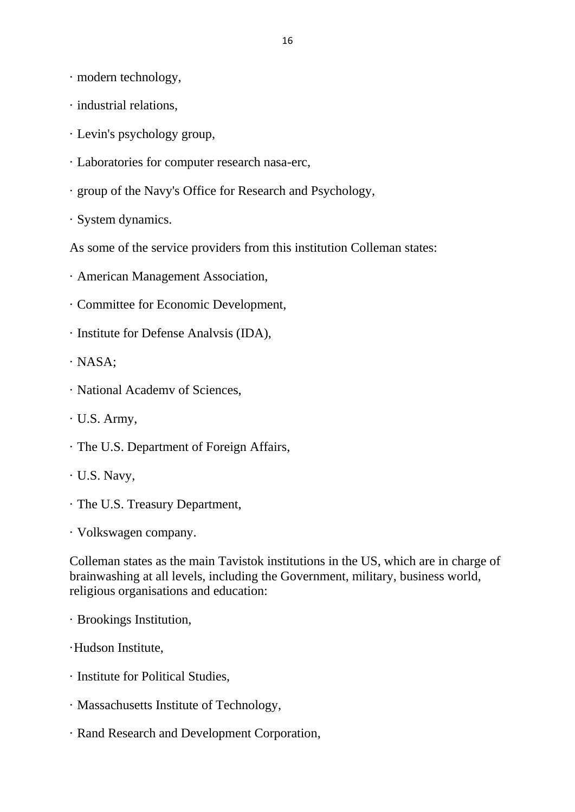· modern technology,

- · industrial relations,
- · Levin's psychology group,
- · Laboratories for computer research nasa-erc,
- · group of the Navy's Office for Research and Psychology,
- · System dynamics.

As some of the service providers from this institution Colleman states:

- · American Management Association,
- · Committee for Economic Development,
- · Institute for Defense Analvsis (IDA),
- · NASA;
- · National Academv of Sciences,
- · U.S. Army,
- · The U.S. Department of Foreign Affairs,
- · U.S. Navy,
- · The U.S. Treasury Department,
- · Volkswagen company.

Colleman states as the main Tavistok institutions in the US, which are in charge of brainwashing at all levels, including the Government, military, business world, religious organisations and education:

· Brookings Institution,

- ·Hudson Institute,
- · Institute for Political Studies,
- · Massachusetts Institute of Technology,
- · Rand Research and Development Corporation,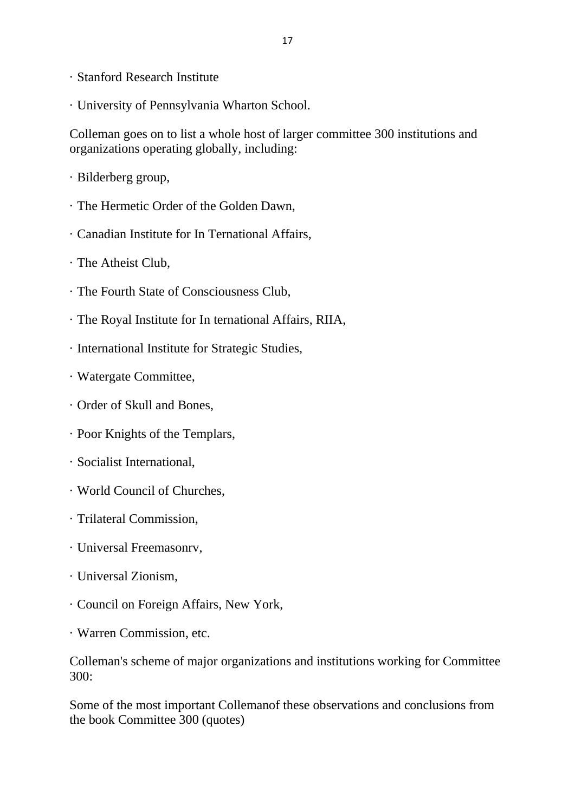- · Stanford Research Institute
- · University of Pennsylvania Wharton School.

Colleman goes on to list a whole host of larger committee 300 institutions and organizations operating globally, including:

- · Bilderberg group,
- · The Hermetic Order of the Golden Dawn,
- · Canadian Institute for In Ternational Affairs,
- · The Atheist Club,
- · The Fourth State of Consciousness Club,
- · The Royal Institute for In ternational Affairs, RIIA,
- · International Institute for Strategic Studies,
- · Watergate Committee,
- · Order of Skull and Bones,
- · Poor Knights of the Templars,
- · Socialist International,
- · World Council of Churches,
- · Trilateral Commission,
- · Universal Freemasonrv,
- · Universal Zionism,
- · Council on Foreign Affairs, New York,
- · Warren Commission, etc.

Colleman's scheme of major organizations and institutions working for Committee 300:

Some of the most important Collemanof these observations and conclusions from the book Committee 300 (quotes)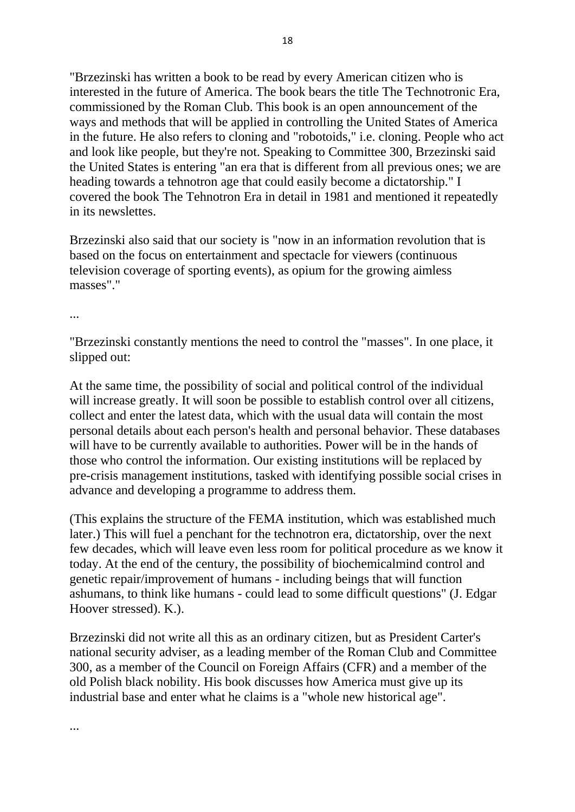"Brzezinski has written a book to be read by every American citizen who is interested in the future of America. The book bears the title The Technotronic Era, commissioned by the Roman Club. This book is an open announcement of the ways and methods that will be applied in controlling the United States of America in the future. He also refers to cloning and "robotoids," i.e. cloning. People who act and look like people, but they're not. Speaking to Committee 300, Brzezinski said the United States is entering "an era that is different from all previous ones; we are heading towards a tehnotron age that could easily become a dictatorship." I covered the book The Tehnotron Era in detail in 1981 and mentioned it repeatedly in its newslettes.

Brzezinski also said that our society is "now in an information revolution that is based on the focus on entertainment and spectacle for viewers (continuous television coverage of sporting events), as opium for the growing aimless masses"."

...

...

"Brzezinski constantly mentions the need to control the "masses". In one place, it slipped out:

At the same time, the possibility of social and political control of the individual will increase greatly. It will soon be possible to establish control over all citizens, collect and enter the latest data, which with the usual data will contain the most personal details about each person's health and personal behavior. These databases will have to be currently available to authorities. Power will be in the hands of those who control the information. Our existing institutions will be replaced by pre-crisis management institutions, tasked with identifying possible social crises in advance and developing a programme to address them.

(This explains the structure of the FEMA institution, which was established much later.) This will fuel a penchant for the technotron era, dictatorship, over the next few decades, which will leave even less room for political procedure as we know it today. At the end of the century, the possibility of biochemicalmind control and genetic repair/improvement of humans - including beings that will function ashumans, to think like humans - could lead to some difficult questions" (J. Edgar Hoover stressed). K.).

Brzezinski did not write all this as an ordinary citizen, but as President Carter's national security adviser, as a leading member of the Roman Club and Committee 300, as a member of the Council on Foreign Affairs (CFR) and a member of the old Polish black nobility. His book discusses how America must give up its industrial base and enter what he claims is a "whole new historical age".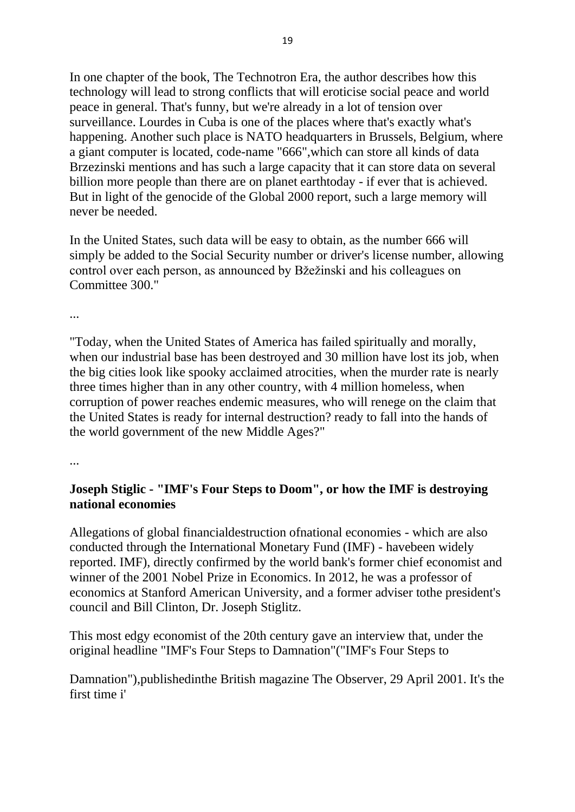In one chapter of the book, The Technotron Era, the author describes how this technology will lead to strong conflicts that will eroticise social peace and world peace in general. That's funny, but we're already in a lot of tension over surveillance. Lourdes in Cuba is one of the places where that's exactly what's happening. Another such place is NATO headquarters in Brussels, Belgium, where a giant computer is located, code-name "666",which can store all kinds of data Brzezinski mentions and has such a large capacity that it can store data on several billion more people than there are on planet earthtoday - if ever that is achieved. But in light of the genocide of the Global 2000 report, such a large memory will never be needed.

In the United States, such data will be easy to obtain, as the number 666 will simply be added to the Social Security number or driver's license number, allowing control over each person, as announced by Bžežinski and his colleagues on Committee 300."

...

"Today, when the United States of America has failed spiritually and morally, when our industrial base has been destroyed and 30 million have lost its job, when the big cities look like spooky acclaimed atrocities, when the murder rate is nearly three times higher than in any other country, with 4 million homeless, when corruption of power reaches endemic measures, who will renege on the claim that the United States is ready for internal destruction? ready to fall into the hands of the world government of the new Middle Ages?"

...

### **Joseph Stiglic - "IMF's Four Steps to Doom", or how the IMF is destroying national economies**

Allegations of global financialdestruction ofnational economies - which are also conducted through the International Monetary Fund (IMF) - havebeen widely reported. IMF), directly confirmed by the world bank's former chief economist and winner of the 2001 Nobel Prize in Economics. In 2012, he was a professor of economics at Stanford American University, and a former adviser tothe president's council and Bill Clinton, Dr. Joseph Stiglitz.

This most edgy economist of the 20th century gave an interview that, under the original headline "IMF's Four Steps to Damnation"("IMF's Four Steps to

Damnation"),publishedinthe British magazine The Observer, 29 April 2001. It's the first time i'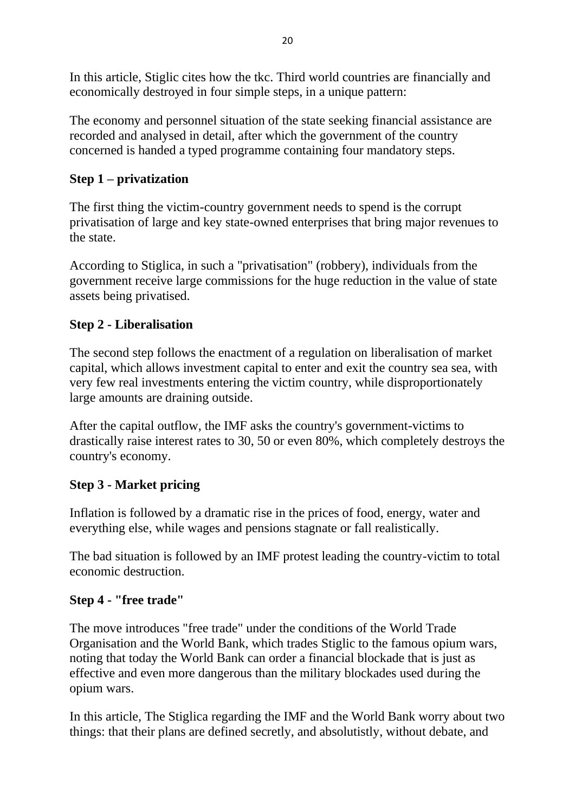In this article, Stiglic cites how the tkc. Third world countries are financially and economically destroyed in four simple steps, in a unique pattern:

The economy and personnel situation of the state seeking financial assistance are recorded and analysed in detail, after which the government of the country concerned is handed a typed programme containing four mandatory steps.

# **Step 1 – privatization**

The first thing the victim-country government needs to spend is the corrupt privatisation of large and key state-owned enterprises that bring major revenues to the state.

According to Stiglica, in such a "privatisation" (robbery), individuals from the government receive large commissions for the huge reduction in the value of state assets being privatised.

# **Step 2 - Liberalisation**

The second step follows the enactment of a regulation on liberalisation of market capital, which allows investment capital to enter and exit the country sea sea, with very few real investments entering the victim country, while disproportionately large amounts are draining outside.

After the capital outflow, the IMF asks the country's government-victims to drastically raise interest rates to 30, 50 or even 80%, which completely destroys the country's economy.

# **Step 3 - Market pricing**

Inflation is followed by a dramatic rise in the prices of food, energy, water and everything else, while wages and pensions stagnate or fall realistically.

The bad situation is followed by an IMF protest leading the country-victim to total economic destruction.

### **Step 4 - "free trade"**

The move introduces "free trade" under the conditions of the World Trade Organisation and the World Bank, which trades Stiglic to the famous opium wars, noting that today the World Bank can order a financial blockade that is just as effective and even more dangerous than the military blockades used during the opium wars.

In this article, The Stiglica regarding the IMF and the World Bank worry about two things: that their plans are defined secretly, and absolutistly, without debate, and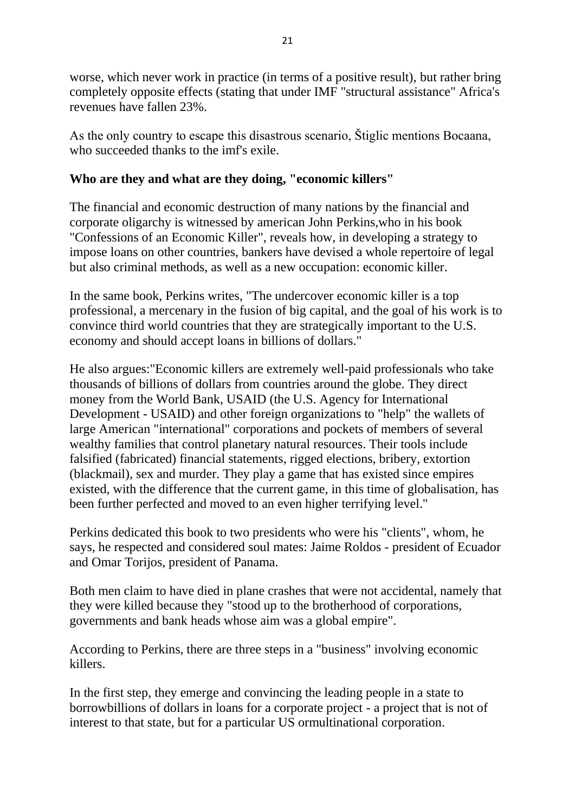worse, which never work in practice (in terms of a positive result), but rather bring completely opposite effects (stating that under IMF "structural assistance" Africa's revenues have fallen 23%.

As the only country to escape this disastrous scenario, Štiglic mentions Bocaana, who succeeded thanks to the imf's exile.

### **Who are they and what are they doing, "economic killers"**

The financial and economic destruction of many nations by the financial and corporate oligarchy is witnessed by american John Perkins,who in his book "Confessions of an Economic Killer", reveals how, in developing a strategy to impose loans on other countries, bankers have devised a whole repertoire of legal but also criminal methods, as well as a new occupation: economic killer.

In the same book, Perkins writes, "The undercover economic killer is a top professional, a mercenary in the fusion of big capital, and the goal of his work is to convince third world countries that they are strategically important to the U.S. economy and should accept loans in billions of dollars."

He also argues:"Economic killers are extremely well-paid professionals who take thousands of billions of dollars from countries around the globe. They direct money from the World Bank, USAID (the U.S. Agency for International Development - USAID) and other foreign organizations to "help" the wallets of large American "international" corporations and pockets of members of several wealthy families that control planetary natural resources. Their tools include falsified (fabricated) financial statements, rigged elections, bribery, extortion (blackmail), sex and murder. They play a game that has existed since empires existed, with the difference that the current game, in this time of globalisation, has been further perfected and moved to an even higher terrifying level."

Perkins dedicated this book to two presidents who were his "clients", whom, he says, he respected and considered soul mates: Jaime Roldos - president of Ecuador and Omar Torijos, president of Panama.

Both men claim to have died in plane crashes that were not accidental, namely that they were killed because they "stood up to the brotherhood of corporations, governments and bank heads whose aim was a global empire".

According to Perkins, there are three steps in a "business" involving economic killers.

In the first step, they emerge and convincing the leading people in a state to borrowbillions of dollars in loans for a corporate project - a project that is not of interest to that state, but for a particular US ormultinational corporation.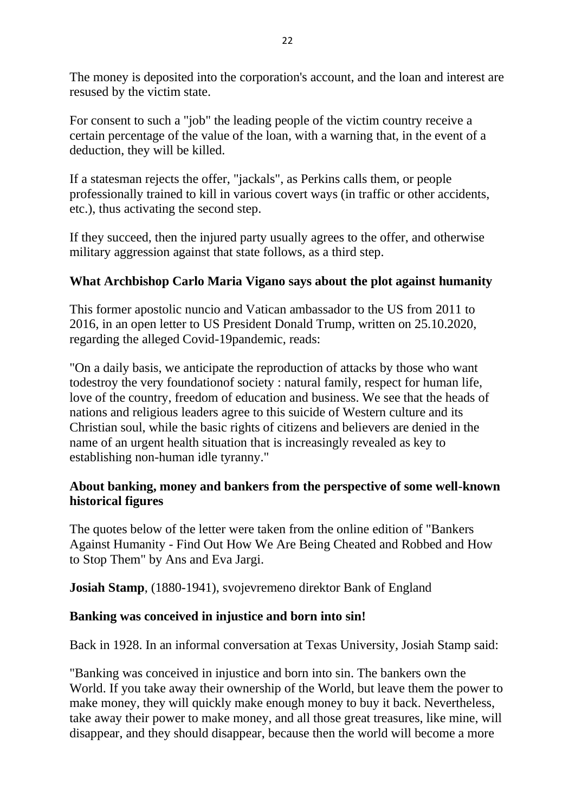The money is deposited into the corporation's account, and the loan and interest are resused by the victim state.

For consent to such a "job" the leading people of the victim country receive a certain percentage of the value of the loan, with a warning that, in the event of a deduction, they will be killed.

If a statesman rejects the offer, "jackals", as Perkins calls them, or people professionally trained to kill in various covert ways (in traffic or other accidents, etc.), thus activating the second step.

If they succeed, then the injured party usually agrees to the offer, and otherwise military aggression against that state follows, as a third step.

### **What Archbishop Carlo Maria Vigano says about the plot against humanity**

This former apostolic nuncio and Vatican ambassador to the US from 2011 to 2016, in an open letter to US President Donald Trump, written on 25.10.2020, regarding the alleged Covid-19pandemic, reads:

"On a daily basis, we anticipate the reproduction of attacks by those who want todestroy the very foundationof society : natural family, respect for human life, love of the country, freedom of education and business. We see that the heads of nations and religious leaders agree to this suicide of Western culture and its Christian soul, while the basic rights of citizens and believers are denied in the name of an urgent health situation that is increasingly revealed as key to establishing non-human idle tyranny."

#### **About banking, money and bankers from the perspective of some well-known historical figures**

The quotes below of the letter were taken from the online edition of "Bankers Against Humanity - Find Out How We Are Being Cheated and Robbed and How to Stop Them" by Ans and Eva Jargi.

**Josiah Stamp**, (1880-1941), svojevremeno direktor Bank of England

#### **Banking was conceived in injustice and born into sin!**

Back in 1928. In an informal conversation at Texas University, Josiah Stamp said:

"Banking was conceived in injustice and born into sin. The bankers own the World. If you take away their ownership of the World, but leave them the power to make money, they will quickly make enough money to buy it back. Nevertheless, take away their power to make money, and all those great treasures, like mine, will disappear, and they should disappear, because then the world will become a more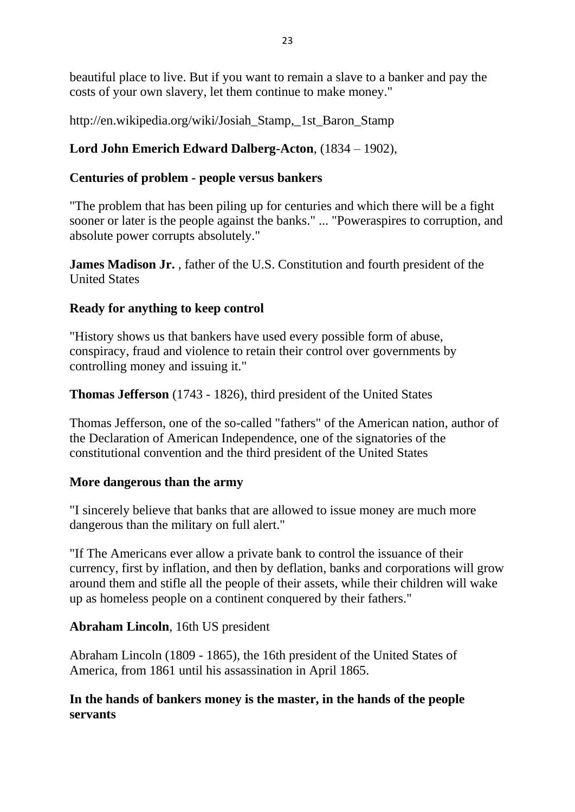beautiful place to live. But if you want to remain a slave to a banker and pay the costs of your own slavery, let them continue to make money."

http://en.wikipedia.org/wiki/Josiah\_Stamp,\_1st\_Baron\_Stamp

# **Lord John Emerich Edward Dalberg-Acton**, (1834 – 1902),

# **Centuries of problem - people versus bankers**

"The problem that has been piling up for centuries and which there will be a fight sooner or later is the people against the banks." ... "Poweraspires to corruption, and absolute power corrupts absolutely."

**James Madison Jr.** , father of the U.S. Constitution and fourth president of the United States

### **Ready for anything to keep control**

"History shows us that bankers have used every possible form of abuse, conspiracy, fraud and violence to retain their control over governments by controlling money and issuing it."

**Thomas Jefferson** (1743 - 1826), third president of the United States

Thomas Jefferson, one of the so-called "fathers" of the American nation, author of the Declaration of American Independence, one of the signatories of the constitutional convention and the third president of the United States

### **More dangerous than the army**

"I sincerely believe that banks that are allowed to issue money are much more dangerous than the military on full alert."

"If The Americans ever allow a private bank to control the issuance of their currency, first by inflation, and then by deflation, banks and corporations will grow around them and stifle all the people of their assets, while their children will wake up as homeless people on a continent conquered by their fathers."

# **Abraham Lincoln**, 16th US president

Abraham Lincoln (1809 - 1865), the 16th president of the United States of America, from 1861 until his assassination in April 1865.

### **In the hands of bankers money is the master, in the hands of the people servants**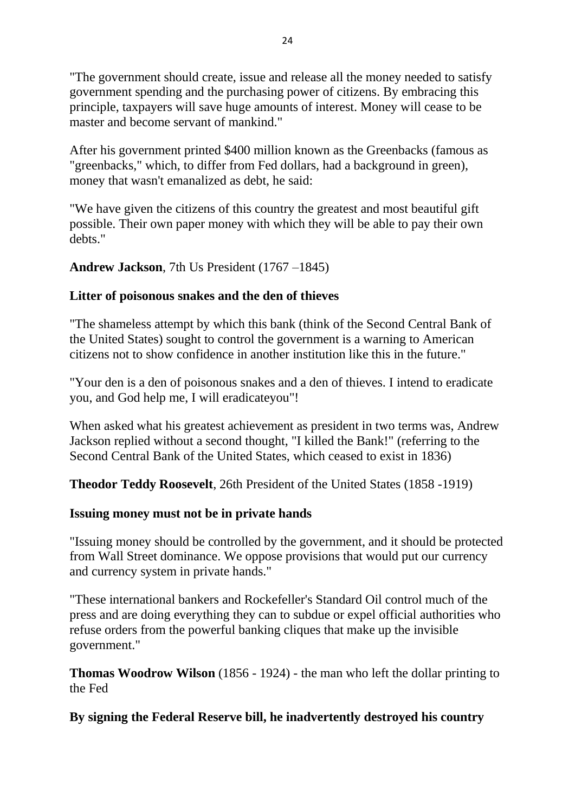"The government should create, issue and release all the money needed to satisfy government spending and the purchasing power of citizens. By embracing this principle, taxpayers will save huge amounts of interest. Money will cease to be master and become servant of mankind."

After his government printed \$400 million known as the Greenbacks (famous as "greenbacks," which, to differ from Fed dollars, had a background in green), money that wasn't emanalized as debt, he said:

"We have given the citizens of this country the greatest and most beautiful gift possible. Their own paper money with which they will be able to pay their own debts."

#### **Andrew Jackson**, 7th Us President (1767 –1845)

#### **Litter of poisonous snakes and the den of thieves**

"The shameless attempt by which this bank (think of the Second Central Bank of the United States) sought to control the government is a warning to American citizens not to show confidence in another institution like this in the future."

"Your den is a den of poisonous snakes and a den of thieves. I intend to eradicate you, and God help me, I will eradicateyou"!

When asked what his greatest achievement as president in two terms was, Andrew Jackson replied without a second thought, "I killed the Bank!" (referring to the Second Central Bank of the United States, which ceased to exist in 1836)

**Theodor Teddy Roosevelt**, 26th President of the United States (1858 -1919)

#### **Issuing money must not be in private hands**

"Issuing money should be controlled by the government, and it should be protected from Wall Street dominance. We oppose provisions that would put our currency and currency system in private hands."

"These international bankers and Rockefeller's Standard Oil control much of the press and are doing everything they can to subdue or expel official authorities who refuse orders from the powerful banking cliques that make up the invisible government."

**Thomas Woodrow Wilson** (1856 - 1924) - the man who left the dollar printing to the Fed

### **By signing the Federal Reserve bill, he inadvertently destroyed his country**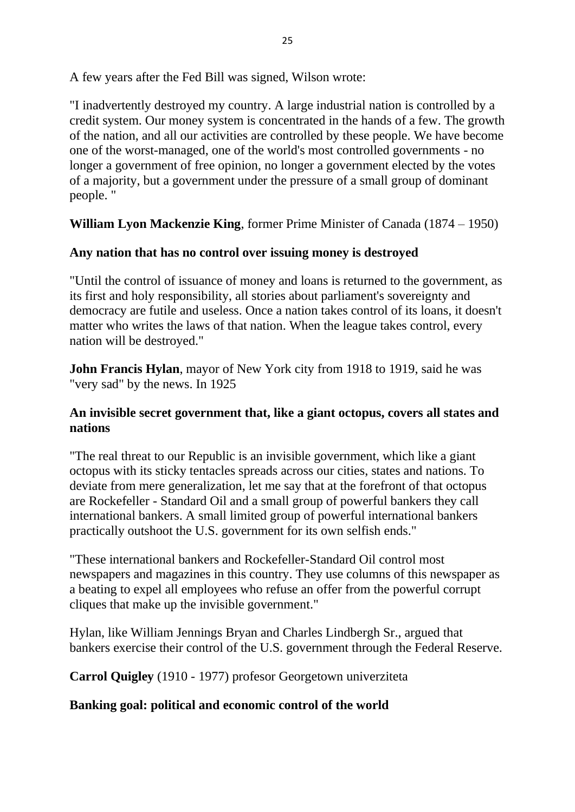A few years after the Fed Bill was signed, Wilson wrote:

"I inadvertently destroyed my country. A large industrial nation is controlled by a credit system. Our money system is concentrated in the hands of a few. The growth of the nation, and all our activities are controlled by these people. We have become one of the worst-managed, one of the world's most controlled governments - no longer a government of free opinion, no longer a government elected by the votes of a majority, but a government under the pressure of a small group of dominant people. "

**William Lyon Mackenzie King**, former Prime Minister of Canada (1874 – 1950)

### **Any nation that has no control over issuing money is destroyed**

"Until the control of issuance of money and loans is returned to the government, as its first and holy responsibility, all stories about parliament's sovereignty and democracy are futile and useless. Once a nation takes control of its loans, it doesn't matter who writes the laws of that nation. When the league takes control, every nation will be destroyed."

**John Francis Hylan**, mayor of New York city from 1918 to 1919, said he was "very sad" by the news. In 1925

#### **An invisible secret government that, like a giant octopus, covers all states and nations**

"The real threat to our Republic is an invisible government, which like a giant octopus with its sticky tentacles spreads across our cities, states and nations. To deviate from mere generalization, let me say that at the forefront of that octopus are Rockefeller - Standard Oil and a small group of powerful bankers they call international bankers. A small limited group of powerful international bankers practically outshoot the U.S. government for its own selfish ends."

"These international bankers and Rockefeller-Standard Oil control most newspapers and magazines in this country. They use columns of this newspaper as a beating to expel all employees who refuse an offer from the powerful corrupt cliques that make up the invisible government."

Hylan, like William Jennings Bryan and Charles Lindbergh Sr., argued that bankers exercise their control of the U.S. government through the Federal Reserve.

**Carrol Quigley** (1910 - 1977) profesor Georgetown univerziteta

### **Banking goal: political and economic control of the world**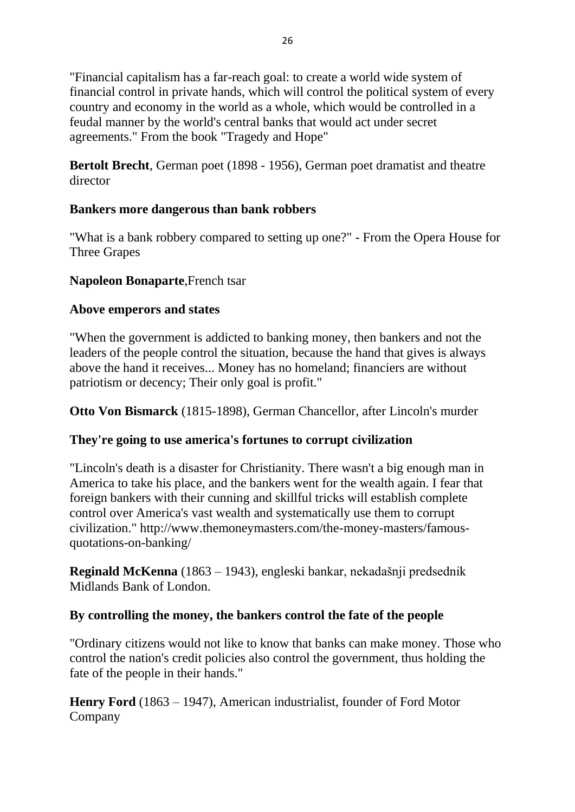"Financial capitalism has a far-reach goal: to create a world wide system of financial control in private hands, which will control the political system of every country and economy in the world as a whole, which would be controlled in a feudal manner by the world's central banks that would act under secret agreements." From the book "Tragedy and Hope"

**Bertolt Brecht**, German poet (1898 - 1956), German poet dramatist and theatre director

### **Bankers more dangerous than bank robbers**

"What is a bank robbery compared to setting up one?" - From the Opera House for Three Grapes

### **Napoleon Bonaparte**,French tsar

### **Above emperors and states**

"When the government is addicted to banking money, then bankers and not the leaders of the people control the situation, because the hand that gives is always above the hand it receives... Money has no homeland; financiers are without patriotism or decency; Their only goal is profit."

**Otto Von Bismarck** (1815-1898), German Chancellor, after Lincoln's murder

# **They're going to use america's fortunes to corrupt civilization**

"Lincoln's death is a disaster for Christianity. There wasn't a big enough man in America to take his place, and the bankers went for the wealth again. I fear that foreign bankers with their cunning and skillful tricks will establish complete control over America's vast wealth and systematically use them to corrupt civilization." http://www.themoneymasters.com/the-money-masters/famousquotations-on-banking/

**Reginald McKenna** (1863 – 1943), engleski bankar, nekadašnji predsednik Midlands Bank of London.

### **By controlling the money, the bankers control the fate of the people**

"Ordinary citizens would not like to know that banks can make money. Those who control the nation's credit policies also control the government, thus holding the fate of the people in their hands."

**Henry Ford** (1863 – 1947), American industrialist, founder of Ford Motor Company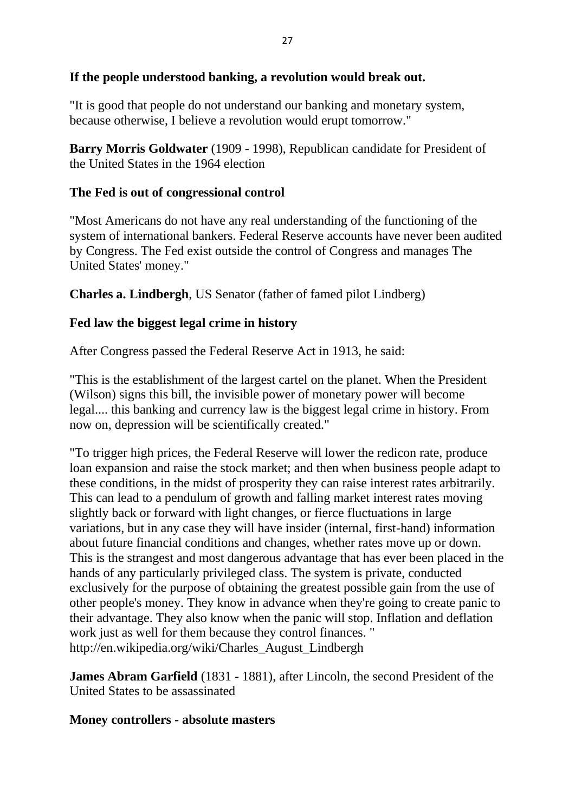#### **If the people understood banking, a revolution would break out.**

"It is good that people do not understand our banking and monetary system, because otherwise, I believe a revolution would erupt tomorrow."

**Barry Morris Goldwater** (1909 - 1998), Republican candidate for President of the United States in the 1964 election

#### **The Fed is out of congressional control**

"Most Americans do not have any real understanding of the functioning of the system of international bankers. Federal Reserve accounts have never been audited by Congress. The Fed exist outside the control of Congress and manages The United States' money."

**Charles a. Lindbergh**, US Senator (father of famed pilot Lindberg)

#### **Fed law the biggest legal crime in history**

After Congress passed the Federal Reserve Act in 1913, he said:

"This is the establishment of the largest cartel on the planet. When the President (Wilson) signs this bill, the invisible power of monetary power will become legal.... this banking and currency law is the biggest legal crime in history. From now on, depression will be scientifically created."

"To trigger high prices, the Federal Reserve will lower the redicon rate, produce loan expansion and raise the stock market; and then when business people adapt to these conditions, in the midst of prosperity they can raise interest rates arbitrarily. This can lead to a pendulum of growth and falling market interest rates moving slightly back or forward with light changes, or fierce fluctuations in large variations, but in any case they will have insider (internal, first-hand) information about future financial conditions and changes, whether rates move up or down. This is the strangest and most dangerous advantage that has ever been placed in the hands of any particularly privileged class. The system is private, conducted exclusively for the purpose of obtaining the greatest possible gain from the use of other people's money. They know in advance when they're going to create panic to their advantage. They also know when the panic will stop. Inflation and deflation work just as well for them because they control finances. " http://en.wikipedia.org/wiki/Charles\_August\_Lindbergh

**James Abram Garfield** (1831 - 1881), after Lincoln, the second President of the United States to be assassinated

### **Money controllers - absolute masters**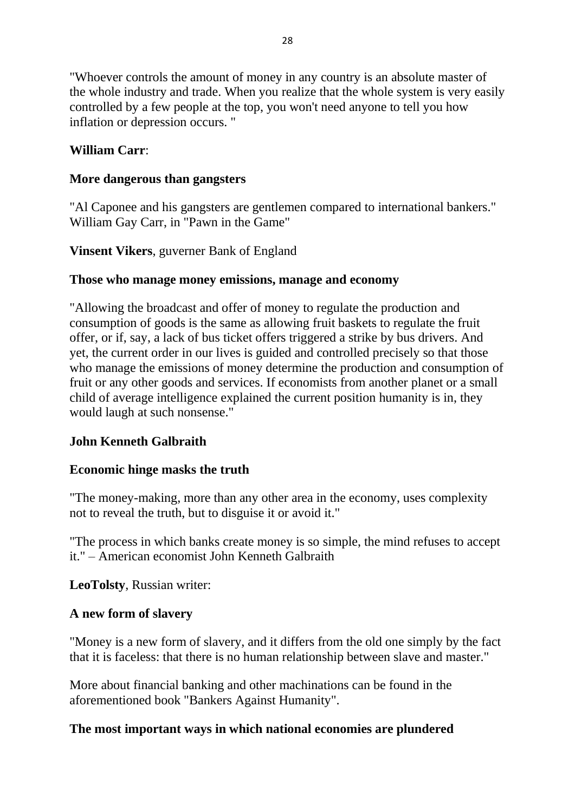"Whoever controls the amount of money in any country is an absolute master of the whole industry and trade. When you realize that the whole system is very easily controlled by a few people at the top, you won't need anyone to tell you how inflation or depression occurs. "

### **William Carr**:

#### **More dangerous than gangsters**

"Al Caponee and his gangsters are gentlemen compared to international bankers." William Gay Carr, in "Pawn in the Game"

**Vinsent Vikers**, guverner Bank of England

#### **Those who manage money emissions, manage and economy**

"Allowing the broadcast and offer of money to regulate the production and consumption of goods is the same as allowing fruit baskets to regulate the fruit offer, or if, say, a lack of bus ticket offers triggered a strike by bus drivers. And yet, the current order in our lives is guided and controlled precisely so that those who manage the emissions of money determine the production and consumption of fruit or any other goods and services. If economists from another planet or a small child of average intelligence explained the current position humanity is in, they would laugh at such nonsense."

### **John Kenneth Galbraith**

#### **Economic hinge masks the truth**

"The money-making, more than any other area in the economy, uses complexity not to reveal the truth, but to disguise it or avoid it."

"The process in which banks create money is so simple, the mind refuses to accept it." – American economist John Kenneth Galbraith

**LeoTolsty**, Russian writer:

#### **A new form of slavery**

"Money is a new form of slavery, and it differs from the old one simply by the fact that it is faceless: that there is no human relationship between slave and master."

More about financial banking and other machinations can be found in the aforementioned book "Bankers Against Humanity".

#### **The most important ways in which national economies are plundered**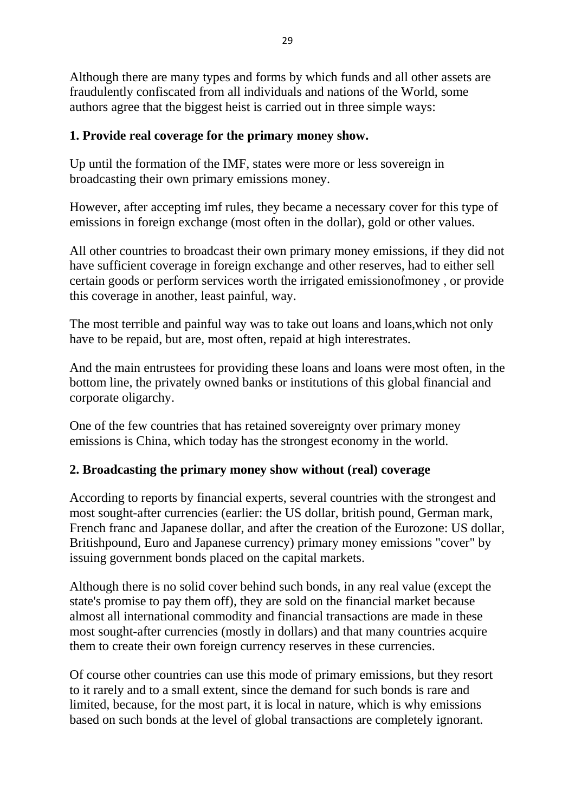Although there are many types and forms by which funds and all other assets are fraudulently confiscated from all individuals and nations of the World, some authors agree that the biggest heist is carried out in three simple ways:

#### **1. Provide real coverage for the primary money show.**

Up until the formation of the IMF, states were more or less sovereign in broadcasting their own primary emissions money.

However, after accepting imf rules, they became a necessary cover for this type of emissions in foreign exchange (most often in the dollar), gold or other values.

All other countries to broadcast their own primary money emissions, if they did not have sufficient coverage in foreign exchange and other reserves, had to either sell certain goods or perform services worth the irrigated emissionofmoney , or provide this coverage in another, least painful, way.

The most terrible and painful way was to take out loans and loans,which not only have to be repaid, but are, most often, repaid at high interestrates.

And the main entrustees for providing these loans and loans were most often, in the bottom line, the privately owned banks or institutions of this global financial and corporate oligarchy.

One of the few countries that has retained sovereignty over primary money emissions is China, which today has the strongest economy in the world.

### **2. Broadcasting the primary money show without (real) coverage**

According to reports by financial experts, several countries with the strongest and most sought-after currencies (earlier: the US dollar, british pound, German mark, French franc and Japanese dollar, and after the creation of the Eurozone: US dollar, Britishpound, Euro and Japanese currency) primary money emissions "cover" by issuing government bonds placed on the capital markets.

Although there is no solid cover behind such bonds, in any real value (except the state's promise to pay them off), they are sold on the financial market because almost all international commodity and financial transactions are made in these most sought-after currencies (mostly in dollars) and that many countries acquire them to create their own foreign currency reserves in these currencies.

Of course other countries can use this mode of primary emissions, but they resort to it rarely and to a small extent, since the demand for such bonds is rare and limited, because, for the most part, it is local in nature, which is why emissions based on such bonds at the level of global transactions are completely ignorant.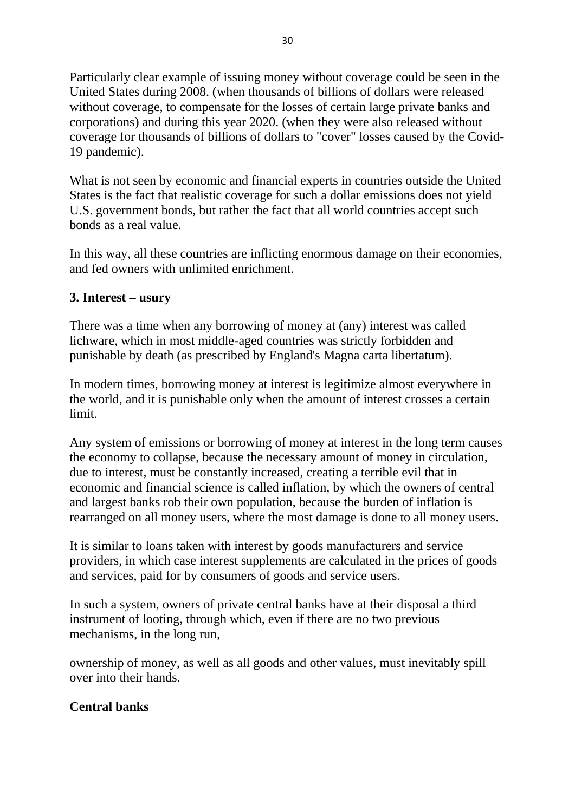Particularly clear example of issuing money without coverage could be seen in the United States during 2008. (when thousands of billions of dollars were released without coverage, to compensate for the losses of certain large private banks and corporations) and during this year 2020. (when they were also released without coverage for thousands of billions of dollars to "cover" losses caused by the Covid-19 pandemic).

What is not seen by economic and financial experts in countries outside the United States is the fact that realistic coverage for such a dollar emissions does not yield U.S. government bonds, but rather the fact that all world countries accept such bonds as a real value.

In this way, all these countries are inflicting enormous damage on their economies, and fed owners with unlimited enrichment.

### **3. Interest – usury**

There was a time when any borrowing of money at (any) interest was called lichware, which in most middle-aged countries was strictly forbidden and punishable by death (as prescribed by England's Magna carta libertatum).

In modern times, borrowing money at interest is legitimize almost everywhere in the world, and it is punishable only when the amount of interest crosses a certain limit.

Any system of emissions or borrowing of money at interest in the long term causes the economy to collapse, because the necessary amount of money in circulation, due to interest, must be constantly increased, creating a terrible evil that in economic and financial science is called inflation, by which the owners of central and largest banks rob their own population, because the burden of inflation is rearranged on all money users, where the most damage is done to all money users.

It is similar to loans taken with interest by goods manufacturers and service providers, in which case interest supplements are calculated in the prices of goods and services, paid for by consumers of goods and service users.

In such a system, owners of private central banks have at their disposal a third instrument of looting, through which, even if there are no two previous mechanisms, in the long run,

ownership of money, as well as all goods and other values, must inevitably spill over into their hands.

### **Central banks**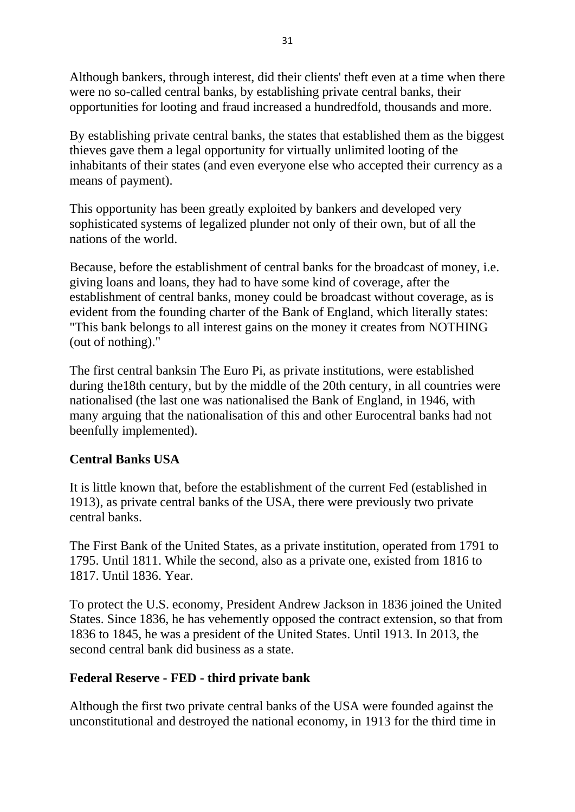Although bankers, through interest, did their clients' theft even at a time when there were no so-called central banks, by establishing private central banks, their opportunities for looting and fraud increased a hundredfold, thousands and more.

By establishing private central banks, the states that established them as the biggest thieves gave them a legal opportunity for virtually unlimited looting of the inhabitants of their states (and even everyone else who accepted their currency as a means of payment).

This opportunity has been greatly exploited by bankers and developed very sophisticated systems of legalized plunder not only of their own, but of all the nations of the world.

Because, before the establishment of central banks for the broadcast of money, i.e. giving loans and loans, they had to have some kind of coverage, after the establishment of central banks, money could be broadcast without coverage, as is evident from the founding charter of the Bank of England, which literally states: "This bank belongs to all interest gains on the money it creates from NOTHING (out of nothing)."

The first central banksin The Euro Pi, as private institutions, were established during the18th century, but by the middle of the 20th century, in all countries were nationalised (the last one was nationalised the Bank of England, in 1946, with many arguing that the nationalisation of this and other Eurocentral banks had not beenfully implemented).

### **Central Banks USA**

It is little known that, before the establishment of the current Fed (established in 1913), as private central banks of the USA, there were previously two private central banks.

The First Bank of the United States, as a private institution, operated from 1791 to 1795. Until 1811. While the second, also as a private one, existed from 1816 to 1817. Until 1836. Year.

To protect the U.S. economy, President Andrew Jackson in 1836 joined the United States. Since 1836, he has vehemently opposed the contract extension, so that from 1836 to 1845, he was a president of the United States. Until 1913. In 2013, the second central bank did business as a state.

# **Federal Reserve - FED - third private bank**

Although the first two private central banks of the USA were founded against the unconstitutional and destroyed the national economy, in 1913 for the third time in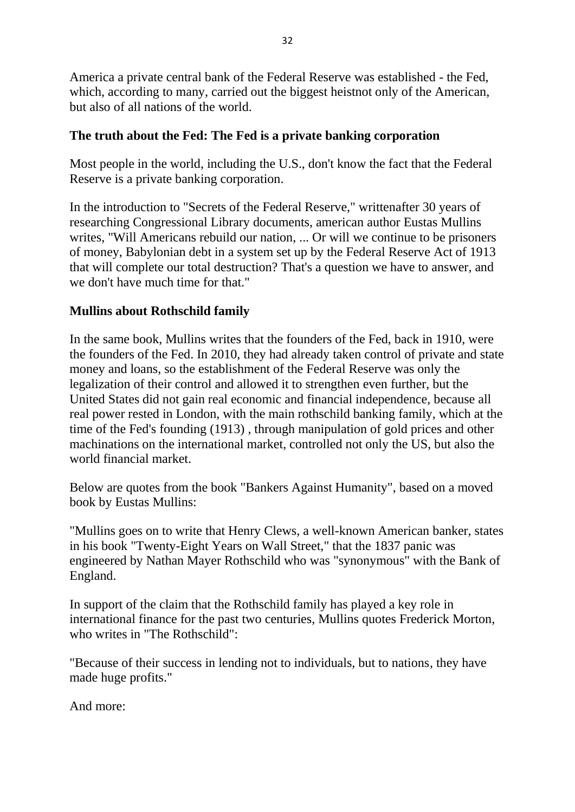America a private central bank of the Federal Reserve was established - the Fed, which, according to many, carried out the biggest heistnot only of the American, but also of all nations of the world.

### **The truth about the Fed: The Fed is a private banking corporation**

Most people in the world, including the U.S., don't know the fact that the Federal Reserve is a private banking corporation.

In the introduction to "Secrets of the Federal Reserve," writtenafter 30 years of researching Congressional Library documents, american author Eustas Mullins writes, "Will Americans rebuild our nation, ... Or will we continue to be prisoners of money, Babylonian debt in a system set up by the Federal Reserve Act of 1913 that will complete our total destruction? That's a question we have to answer, and we don't have much time for that."

### **Mullins about Rothschild family**

In the same book, Mullins writes that the founders of the Fed, back in 1910, were the founders of the Fed. In 2010, they had already taken control of private and state money and loans, so the establishment of the Federal Reserve was only the legalization of their control and allowed it to strengthen even further, but the United States did not gain real economic and financial independence, because all real power rested in London, with the main rothschild banking family, which at the time of the Fed's founding (1913) , through manipulation of gold prices and other machinations on the international market, controlled not only the US, but also the world financial market.

Below are quotes from the book "Bankers Against Humanity", based on a moved book by Eustas Mullins:

"Mullins goes on to write that Henry Clews, a well-known American banker, states in his book "Twenty-Eight Years on Wall Street," that the 1837 panic was engineered by Nathan Mayer Rothschild who was "synonymous" with the Bank of England.

In support of the claim that the Rothschild family has played a key role in international finance for the past two centuries, Mullins quotes Frederick Morton, who writes in "The Rothschild":

"Because of their success in lending not to individuals, but to nations, they have made huge profits."

And more: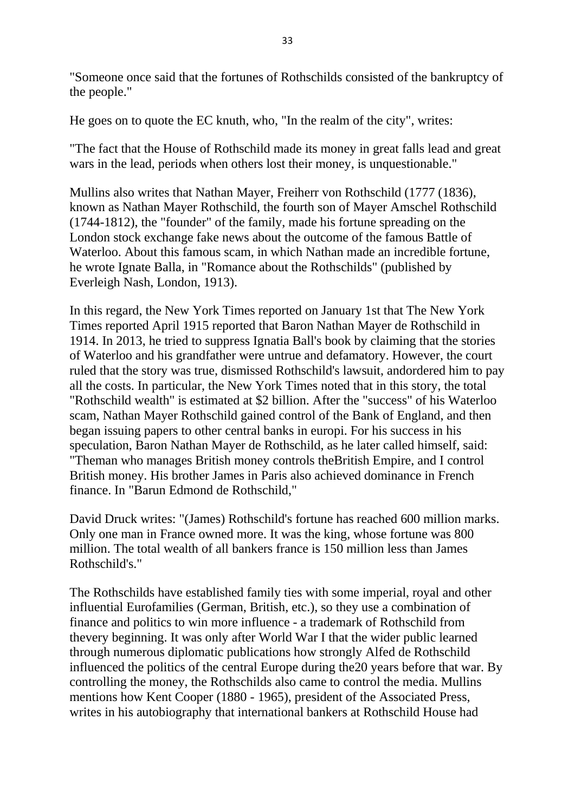"Someone once said that the fortunes of Rothschilds consisted of the bankruptcy of the people."

He goes on to quote the EC knuth, who, "In the realm of the city", writes:

"The fact that the House of Rothschild made its money in great falls lead and great wars in the lead, periods when others lost their money, is unquestionable."

Mullins also writes that Nathan Mayer, Freiherr von Rothschild (1777 (1836), known as Nathan Mayer Rothschild, the fourth son of Mayer Amschel Rothschild (1744-1812), the "founder" of the family, made his fortune spreading on the London stock exchange fake news about the outcome of the famous Battle of Waterloo. About this famous scam, in which Nathan made an incredible fortune, he wrote Ignate Balla, in "Romance about the Rothschilds" (published by Everleigh Nash, London, 1913).

In this regard, the New York Times reported on January 1st that The New York Times reported April 1915 reported that Baron Nathan Mayer de Rothschild in 1914. In 2013, he tried to suppress Ignatia Ball's book by claiming that the stories of Waterloo and his grandfather were untrue and defamatory. However, the court ruled that the story was true, dismissed Rothschild's lawsuit, andordered him to pay all the costs. In particular, the New York Times noted that in this story, the total "Rothschild wealth" is estimated at \$2 billion. After the "success" of his Waterloo scam, Nathan Mayer Rothschild gained control of the Bank of England, and then began issuing papers to other central banks in europi. For his success in his speculation, Baron Nathan Mayer de Rothschild, as he later called himself, said: "Theman who manages British money controls theBritish Empire, and I control British money. His brother James in Paris also achieved dominance in French finance. In "Barun Edmond de Rothschild,"

David Druck writes: "(James) Rothschild's fortune has reached 600 million marks. Only one man in France owned more. It was the king, whose fortune was 800 million. The total wealth of all bankers france is 150 million less than James Rothschild's."

The Rothschilds have established family ties with some imperial, royal and other influential Eurofamilies (German, British, etc.), so they use a combination of finance and politics to win more influence - a trademark of Rothschild from thevery beginning. It was only after World War I that the wider public learned through numerous diplomatic publications how strongly Alfed de Rothschild influenced the politics of the central Europe during the20 years before that war. By controlling the money, the Rothschilds also came to control the media. Mullins mentions how Kent Cooper (1880 - 1965), president of the Associated Press, writes in his autobiography that international bankers at Rothschild House had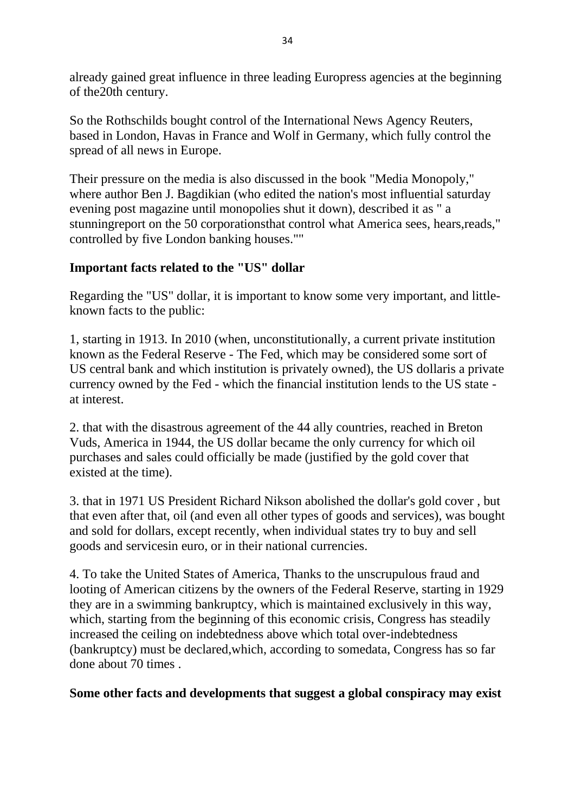already gained great influence in three leading Europress agencies at the beginning of the20th century.

So the Rothschilds bought control of the International News Agency Reuters, based in London, Havas in France and Wolf in Germany, which fully control the spread of all news in Europe.

Their pressure on the media is also discussed in the book "Media Monopoly," where author Ben J. Bagdikian (who edited the nation's most influential saturday evening post magazine until monopolies shut it down), described it as " a stunningreport on the 50 corporationsthat control what America sees, hears,reads," controlled by five London banking houses.""

### **Important facts related to the "US" dollar**

Regarding the "US" dollar, it is important to know some very important, and littleknown facts to the public:

1, starting in 1913. In 2010 (when, unconstitutionally, a current private institution known as the Federal Reserve - The Fed, which may be considered some sort of US central bank and which institution is privately owned), the US dollaris a private currency owned by the Fed - which the financial institution lends to the US state at interest.

2. that with the disastrous agreement of the 44 ally countries, reached in Breton Vuds, America in 1944, the US dollar became the only currency for which oil purchases and sales could officially be made (justified by the gold cover that existed at the time).

3. that in 1971 US President Richard Nikson abolished the dollar's gold cover , but that even after that, oil (and even all other types of goods and services), was bought and sold for dollars, except recently, when individual states try to buy and sell goods and servicesin euro, or in their national currencies.

4. To take the United States of America, Thanks to the unscrupulous fraud and looting of American citizens by the owners of the Federal Reserve, starting in 1929 they are in a swimming bankruptcy, which is maintained exclusively in this way, which, starting from the beginning of this economic crisis, Congress has steadily increased the ceiling on indebtedness above which total over-indebtedness (bankruptcy) must be declared,which, according to somedata, Congress has so far done about 70 times .

**Some other facts and developments that suggest a global conspiracy may exist**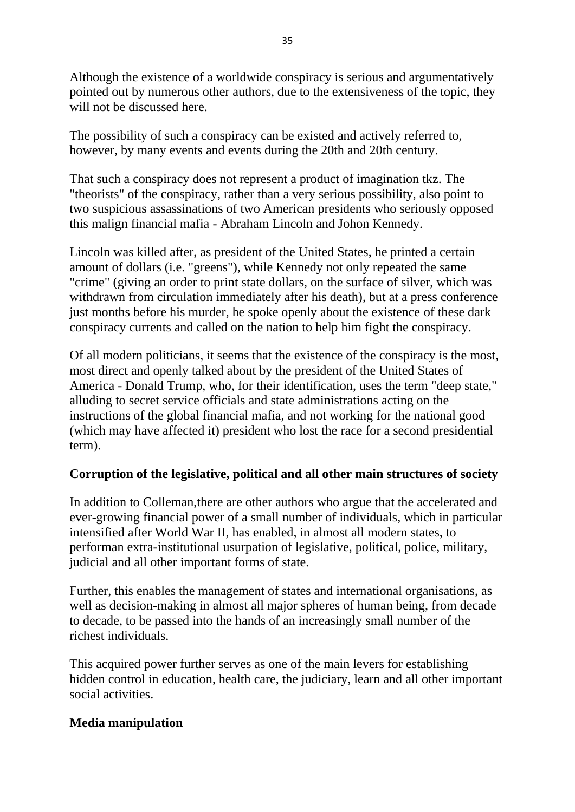Although the existence of a worldwide conspiracy is serious and argumentatively pointed out by numerous other authors, due to the extensiveness of the topic, they will not be discussed here.

The possibility of such a conspiracy can be existed and actively referred to, however, by many events and events during the 20th and 20th century.

That such a conspiracy does not represent a product of imagination tkz. The "theorists" of the conspiracy, rather than a very serious possibility, also point to two suspicious assassinations of two American presidents who seriously opposed this malign financial mafia - Abraham Lincoln and Johon Kennedy.

Lincoln was killed after, as president of the United States, he printed a certain amount of dollars (i.e. "greens"), while Kennedy not only repeated the same "crime" (giving an order to print state dollars, on the surface of silver, which was withdrawn from circulation immediately after his death), but at a press conference just months before his murder, he spoke openly about the existence of these dark conspiracy currents and called on the nation to help him fight the conspiracy.

Of all modern politicians, it seems that the existence of the conspiracy is the most, most direct and openly talked about by the president of the United States of America - Donald Trump, who, for their identification, uses the term "deep state," alluding to secret service officials and state administrations acting on the instructions of the global financial mafia, and not working for the national good (which may have affected it) president who lost the race for a second presidential term).

### **Corruption of the legislative, political and all other main structures of society**

In addition to Colleman,there are other authors who argue that the accelerated and ever-growing financial power of a small number of individuals, which in particular intensified after World War II, has enabled, in almost all modern states, to performan extra-institutional usurpation of legislative, political, police, military, judicial and all other important forms of state.

Further, this enables the management of states and international organisations, as well as decision-making in almost all major spheres of human being, from decade to decade, to be passed into the hands of an increasingly small number of the richest individuals.

This acquired power further serves as one of the main levers for establishing hidden control in education, health care, the judiciary, learn and all other important social activities.

#### **Media manipulation**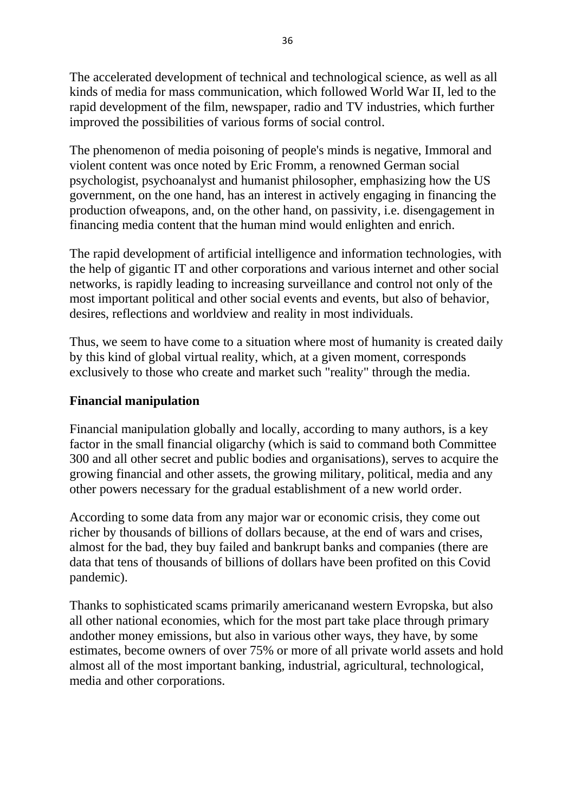The accelerated development of technical and technological science, as well as all kinds of media for mass communication, which followed World War II, led to the rapid development of the film, newspaper, radio and TV industries, which further improved the possibilities of various forms of social control.

The phenomenon of media poisoning of people's minds is negative, Immoral and violent content was once noted by Eric Fromm, a renowned German social psychologist, psychoanalyst and humanist philosopher, emphasizing how the US government, on the one hand, has an interest in actively engaging in financing the production ofweapons, and, on the other hand, on passivity, i.e. disengagement in financing media content that the human mind would enlighten and enrich.

The rapid development of artificial intelligence and information technologies, with the help of gigantic IT and other corporations and various internet and other social networks, is rapidly leading to increasing surveillance and control not only of the most important political and other social events and events, but also of behavior, desires, reflections and worldview and reality in most individuals.

Thus, we seem to have come to a situation where most of humanity is created daily by this kind of global virtual reality, which, at a given moment, corresponds exclusively to those who create and market such "reality" through the media.

#### **Financial manipulation**

Financial manipulation globally and locally, according to many authors, is a key factor in the small financial oligarchy (which is said to command both Committee 300 and all other secret and public bodies and organisations), serves to acquire the growing financial and other assets, the growing military, political, media and any other powers necessary for the gradual establishment of a new world order.

According to some data from any major war or economic crisis, they come out richer by thousands of billions of dollars because, at the end of wars and crises, almost for the bad, they buy failed and bankrupt banks and companies (there are data that tens of thousands of billions of dollars have been profited on this Covid pandemic).

Thanks to sophisticated scams primarily americanand western Evropska, but also all other national economies, which for the most part take place through primary andother money emissions, but also in various other ways, they have, by some estimates, become owners of over 75% or more of all private world assets and hold almost all of the most important banking, industrial, agricultural, technological, media and other corporations.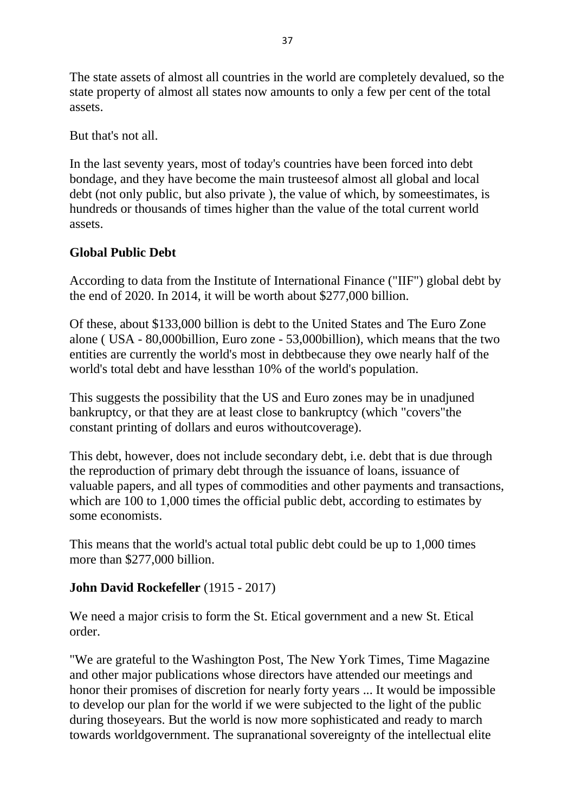The state assets of almost all countries in the world are completely devalued, so the state property of almost all states now amounts to only a few per cent of the total assets.

But that's not all.

In the last seventy years, most of today's countries have been forced into debt bondage, and they have become the main trusteesof almost all global and local debt (not only public, but also private ), the value of which, by someestimates, is hundreds or thousands of times higher than the value of the total current world assets.

### **Global Public Debt**

According to data from the Institute of International Finance ("IIF") global debt by the end of 2020. In 2014, it will be worth about \$277,000 billion.

Of these, about \$133,000 billion is debt to the United States and The Euro Zone alone ( USA - 80,000billion, Euro zone - 53,000billion), which means that the two entities are currently the world's most in debtbecause they owe nearly half of the world's total debt and have lessthan 10% of the world's population.

This suggests the possibility that the US and Euro zones may be in unadjuned bankruptcy, or that they are at least close to bankruptcy (which "covers"the constant printing of dollars and euros withoutcoverage).

This debt, however, does not include secondary debt, i.e. debt that is due through the reproduction of primary debt through the issuance of loans, issuance of valuable papers, and all types of commodities and other payments and transactions, which are 100 to 1,000 times the official public debt, according to estimates by some economists.

This means that the world's actual total public debt could be up to 1,000 times more than \$277,000 billion.

### **John David Rockefeller** (1915 - 2017)

We need a major crisis to form the St. Etical government and a new St. Etical order.

"We are grateful to the Washington Post, The New York Times, Time Magazine and other major publications whose directors have attended our meetings and honor their promises of discretion for nearly forty years ... It would be impossible to develop our plan for the world if we were subjected to the light of the public during thoseyears. But the world is now more sophisticated and ready to march towards worldgovernment. The supranational sovereignty of the intellectual elite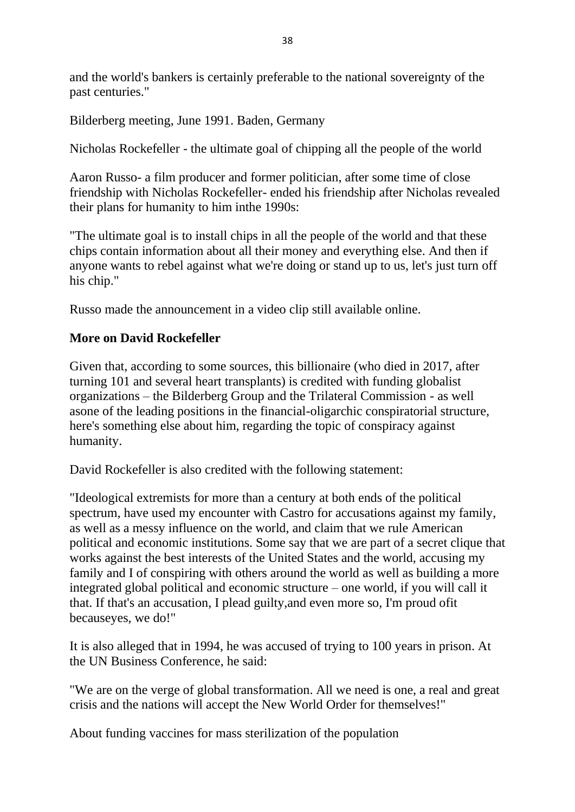and the world's bankers is certainly preferable to the national sovereignty of the past centuries."

Bilderberg meeting, June 1991. Baden, Germany

Nicholas Rockefeller - the ultimate goal of chipping all the people of the world

Aaron Russo- a film producer and former politician, after some time of close friendship with Nicholas Rockefeller- ended his friendship after Nicholas revealed their plans for humanity to him inthe 1990s:

"The ultimate goal is to install chips in all the people of the world and that these chips contain information about all their money and everything else. And then if anyone wants to rebel against what we're doing or stand up to us, let's just turn off his chip."

Russo made the announcement in a video clip still available online.

#### **More on David Rockefeller**

Given that, according to some sources, this billionaire (who died in 2017, after turning 101 and several heart transplants) is credited with funding globalist organizations – the Bilderberg Group and the Trilateral Commission - as well asone of the leading positions in the financial-oligarchic conspiratorial structure, here's something else about him, regarding the topic of conspiracy against humanity.

David Rockefeller is also credited with the following statement:

"Ideological extremists for more than a century at both ends of the political spectrum, have used my encounter with Castro for accusations against my family, as well as a messy influence on the world, and claim that we rule American political and economic institutions. Some say that we are part of a secret clique that works against the best interests of the United States and the world, accusing my family and I of conspiring with others around the world as well as building a more integrated global political and economic structure – one world, if you will call it that. If that's an accusation, I plead guilty,and even more so, I'm proud ofit becauseyes, we do!"

It is also alleged that in 1994, he was accused of trying to 100 years in prison. At the UN Business Conference, he said:

"We are on the verge of global transformation. All we need is one, a real and great crisis and the nations will accept the New World Order for themselves!"

About funding vaccines for mass sterilization of the population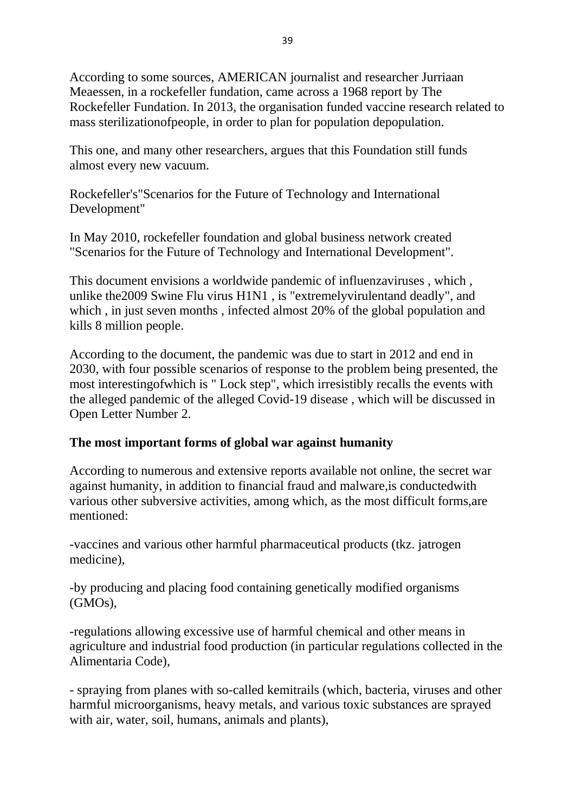According to some sources, AMERICAN journalist and researcher Jurriaan Meaessen, in a rockefeller fundation, came across a 1968 report by The Rockefeller Fundation. In 2013, the organisation funded vaccine research related to mass sterilizationofpeople, in order to plan for population depopulation.

This one, and many other researchers, argues that this Foundation still funds almost every new vacuum.

Rockefeller's"Scenarios for the Future of Technology and International Development"

In May 2010, rockefeller foundation and global business network created "Scenarios for the Future of Technology and International Development".

This document envisions a worldwide pandemic of influenzaviruses , which , unlike the2009 Swine Flu virus H1N1 , is "extremelyvirulentand deadly", and which , in just seven months , infected almost 20% of the global population and kills 8 million people.

According to the document, the pandemic was due to start in 2012 and end in 2030, with four possible scenarios of response to the problem being presented, the most interestingofwhich is " Lock step", which irresistibly recalls the events with the alleged pandemic of the alleged Covid-19 disease , which will be discussed in Open Letter Number 2.

### **The most important forms of global war against humanity**

According to numerous and extensive reports available not online, the secret war against humanity, in addition to financial fraud and malware,is conductedwith various other subversive activities, among which, as the most difficult forms,are mentioned:

-vaccines and various other harmful pharmaceutical products (tkz. jatrogen medicine),

-by producing and placing food containing genetically modified organisms (GMOs),

-regulations allowing excessive use of harmful chemical and other means in agriculture and industrial food production (in particular regulations collected in the Alimentaria Code),

- spraying from planes with so-called kemitrails (which, bacteria, viruses and other harmful microorganisms, heavy metals, and various toxic substances are sprayed with air, water, soil, humans, animals and plants),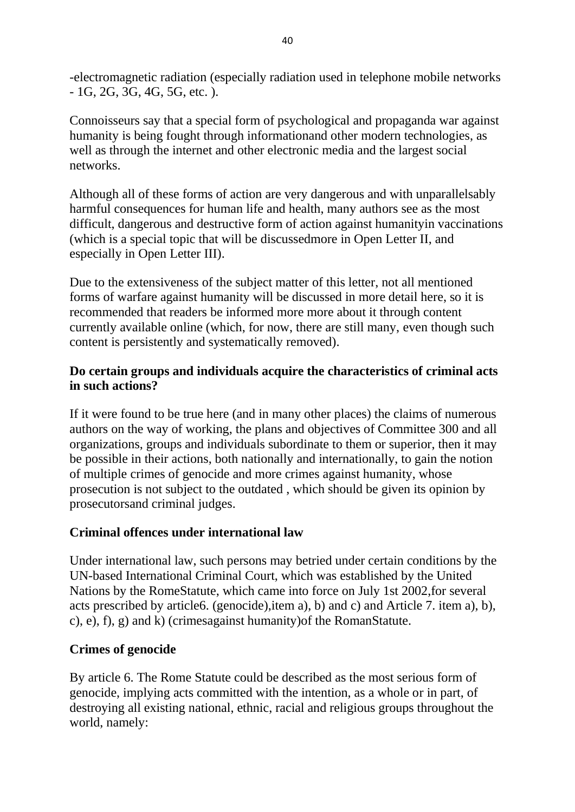-electromagnetic radiation (especially radiation used in telephone mobile networks - 1G, 2G, 3G, 4G, 5G, etc. ).

Connoisseurs say that a special form of psychological and propaganda war against humanity is being fought through informationand other modern technologies, as well as through the internet and other electronic media and the largest social networks.

Although all of these forms of action are very dangerous and with unparallelsably harmful consequences for human life and health, many authors see as the most difficult, dangerous and destructive form of action against humanityin vaccinations (which is a special topic that will be discussedmore in Open Letter II, and especially in Open Letter III).

Due to the extensiveness of the subject matter of this letter, not all mentioned forms of warfare against humanity will be discussed in more detail here, so it is recommended that readers be informed more more about it through content currently available online (which, for now, there are still many, even though such content is persistently and systematically removed).

### **Do certain groups and individuals acquire the characteristics of criminal acts in such actions?**

If it were found to be true here (and in many other places) the claims of numerous authors on the way of working, the plans and objectives of Committee 300 and all organizations, groups and individuals subordinate to them or superior, then it may be possible in their actions, both nationally and internationally, to gain the notion of multiple crimes of genocide and more crimes against humanity, whose prosecution is not subject to the outdated , which should be given its opinion by prosecutorsand criminal judges.

### **Criminal offences under international law**

Under international law, such persons may betried under certain conditions by the UN-based International Criminal Court, which was established by the United Nations by the RomeStatute, which came into force on July 1st 2002,for several acts prescribed by article6. (genocide),item a), b) and c) and Article 7. item a), b), c), e), f), g) and k) (crimesagainst humanity)of the RomanStatute.

### **Crimes of genocide**

By article 6. The Rome Statute could be described as the most serious form of genocide, implying acts committed with the intention, as a whole or in part, of destroying all existing national, ethnic, racial and religious groups throughout the world, namely: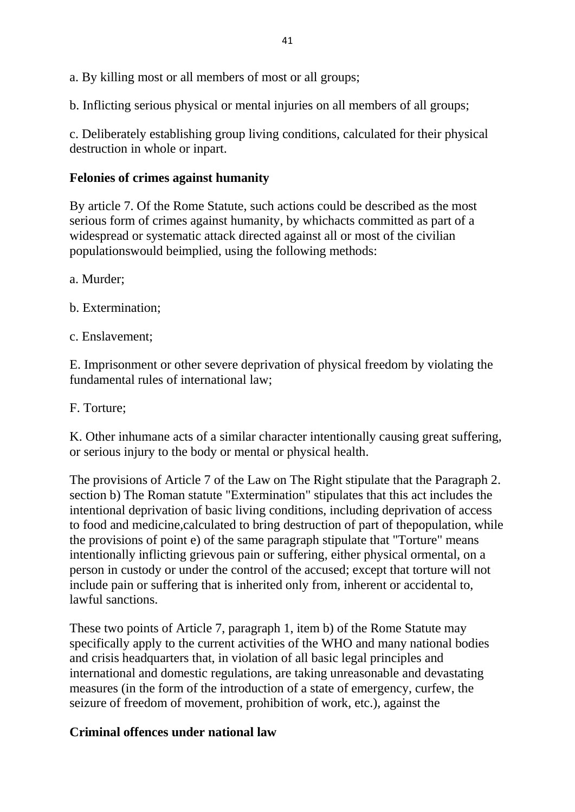a. By killing most or all members of most or all groups;

b. Inflicting serious physical or mental injuries on all members of all groups;

c. Deliberately establishing group living conditions, calculated for their physical destruction in whole or inpart.

#### **Felonies of crimes against humanity**

By article 7. Of the Rome Statute, such actions could be described as the most serious form of crimes against humanity, by whichacts committed as part of a widespread or systematic attack directed against all or most of the civilian populationswould beimplied, using the following methods:

a. Murder;

b. Extermination;

c. Enslavement;

E. Imprisonment or other severe deprivation of physical freedom by violating the fundamental rules of international law;

F. Torture;

K. Other inhumane acts of a similar character intentionally causing great suffering, or serious injury to the body or mental or physical health.

The provisions of Article 7 of the Law on The Right stipulate that the Paragraph 2. section b) The Roman statute "Extermination" stipulates that this act includes the intentional deprivation of basic living conditions, including deprivation of access to food and medicine,calculated to bring destruction of part of thepopulation, while the provisions of point e) of the same paragraph stipulate that "Torture" means intentionally inflicting grievous pain or suffering, either physical ormental, on a person in custody or under the control of the accused; except that torture will not include pain or suffering that is inherited only from, inherent or accidental to, lawful sanctions.

These two points of Article 7, paragraph 1, item b) of the Rome Statute may specifically apply to the current activities of the WHO and many national bodies and crisis headquarters that, in violation of all basic legal principles and international and domestic regulations, are taking unreasonable and devastating measures (in the form of the introduction of a state of emergency, curfew, the seizure of freedom of movement, prohibition of work, etc.), against the

### **Criminal offences under national law**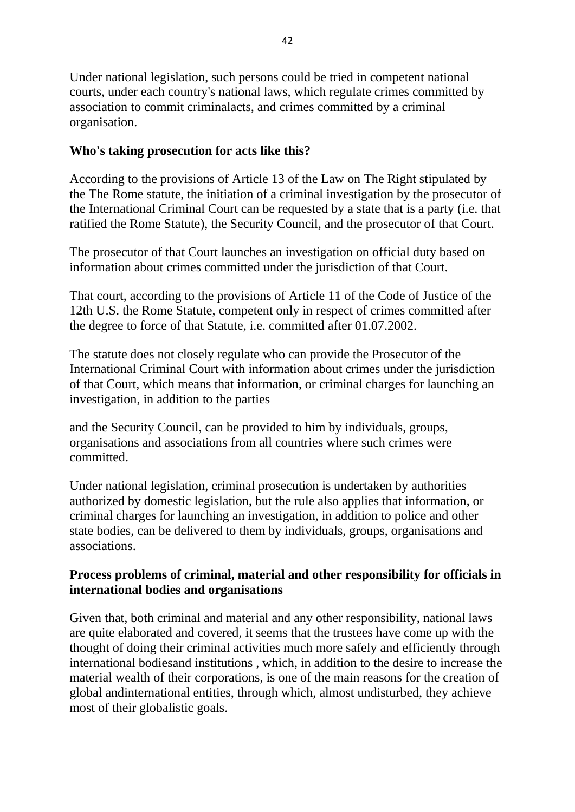Under national legislation, such persons could be tried in competent national courts, under each country's national laws, which regulate crimes committed by association to commit criminalacts, and crimes committed by a criminal organisation.

#### **Who's taking prosecution for acts like this?**

According to the provisions of Article 13 of the Law on The Right stipulated by the The Rome statute, the initiation of a criminal investigation by the prosecutor of the International Criminal Court can be requested by a state that is a party (i.e. that ratified the Rome Statute), the Security Council, and the prosecutor of that Court.

The prosecutor of that Court launches an investigation on official duty based on information about crimes committed under the jurisdiction of that Court.

That court, according to the provisions of Article 11 of the Code of Justice of the 12th U.S. the Rome Statute, competent only in respect of crimes committed after the degree to force of that Statute, i.e. committed after 01.07.2002.

The statute does not closely regulate who can provide the Prosecutor of the International Criminal Court with information about crimes under the jurisdiction of that Court, which means that information, or criminal charges for launching an investigation, in addition to the parties

and the Security Council, can be provided to him by individuals, groups, organisations and associations from all countries where such crimes were committed.

Under national legislation, criminal prosecution is undertaken by authorities authorized by domestic legislation, but the rule also applies that information, or criminal charges for launching an investigation, in addition to police and other state bodies, can be delivered to them by individuals, groups, organisations and associations.

#### **Process problems of criminal, material and other responsibility for officials in international bodies and organisations**

Given that, both criminal and material and any other responsibility, national laws are quite elaborated and covered, it seems that the trustees have come up with the thought of doing their criminal activities much more safely and efficiently through international bodiesand institutions , which, in addition to the desire to increase the material wealth of their corporations, is one of the main reasons for the creation of global andinternational entities, through which, almost undisturbed, they achieve most of their globalistic goals.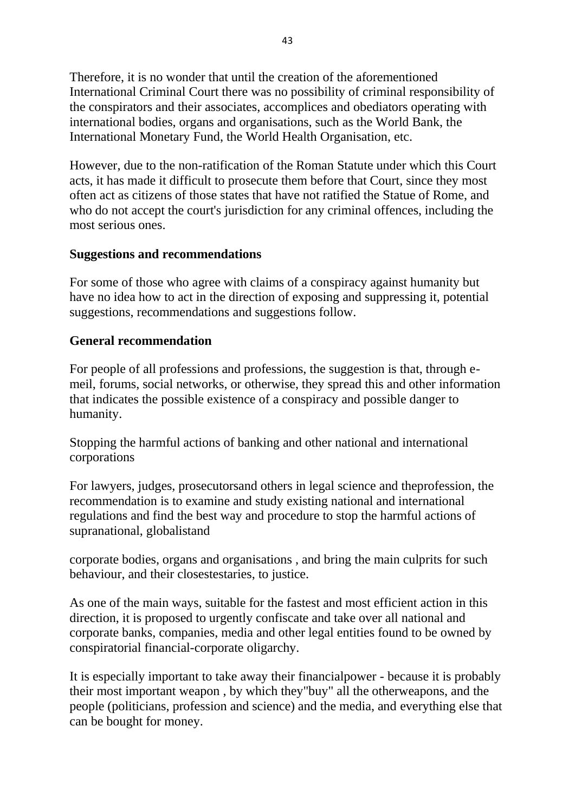Therefore, it is no wonder that until the creation of the aforementioned International Criminal Court there was no possibility of criminal responsibility of the conspirators and their associates, accomplices and obediators operating with international bodies, organs and organisations, such as the World Bank, the International Monetary Fund, the World Health Organisation, etc.

However, due to the non-ratification of the Roman Statute under which this Court acts, it has made it difficult to prosecute them before that Court, since they most often act as citizens of those states that have not ratified the Statue of Rome, and who do not accept the court's jurisdiction for any criminal offences, including the most serious ones.

### **Suggestions and recommendations**

For some of those who agree with claims of a conspiracy against humanity but have no idea how to act in the direction of exposing and suppressing it, potential suggestions, recommendations and suggestions follow.

#### **General recommendation**

For people of all professions and professions, the suggestion is that, through emeil, forums, social networks, or otherwise, they spread this and other information that indicates the possible existence of a conspiracy and possible danger to humanity.

Stopping the harmful actions of banking and other national and international corporations

For lawyers, judges, prosecutorsand others in legal science and theprofession, the recommendation is to examine and study existing national and international regulations and find the best way and procedure to stop the harmful actions of supranational, globalistand

corporate bodies, organs and organisations , and bring the main culprits for such behaviour, and their closestestaries, to justice.

As one of the main ways, suitable for the fastest and most efficient action in this direction, it is proposed to urgently confiscate and take over all national and corporate banks, companies, media and other legal entities found to be owned by conspiratorial financial-corporate oligarchy.

It is especially important to take away their financialpower - because it is probably their most important weapon , by which they"buy" all the otherweapons, and the people (politicians, profession and science) and the media, and everything else that can be bought for money.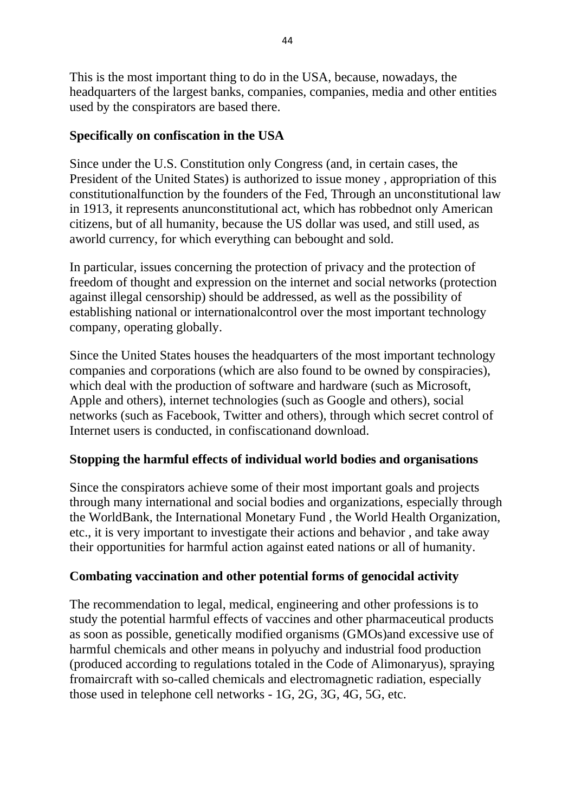This is the most important thing to do in the USA, because, nowadays, the headquarters of the largest banks, companies, companies, media and other entities used by the conspirators are based there.

### **Specifically on confiscation in the USA**

Since under the U.S. Constitution only Congress (and, in certain cases, the President of the United States) is authorized to issue money , appropriation of this constitutionalfunction by the founders of the Fed, Through an unconstitutional law in 1913, it represents anunconstitutional act, which has robbednot only American citizens, but of all humanity, because the US dollar was used, and still used, as aworld currency, for which everything can bebought and sold.

In particular, issues concerning the protection of privacy and the protection of freedom of thought and expression on the internet and social networks (protection against illegal censorship) should be addressed, as well as the possibility of establishing national or internationalcontrol over the most important technology company, operating globally.

Since the United States houses the headquarters of the most important technology companies and corporations (which are also found to be owned by conspiracies), which deal with the production of software and hardware (such as Microsoft, Apple and others), internet technologies (such as Google and others), social networks (such as Facebook, Twitter and others), through which secret control of Internet users is conducted, in confiscationand download.

### **Stopping the harmful effects of individual world bodies and organisations**

Since the conspirators achieve some of their most important goals and projects through many international and social bodies and organizations, especially through the WorldBank, the International Monetary Fund , the World Health Organization, etc., it is very important to investigate their actions and behavior , and take away their opportunities for harmful action against eated nations or all of humanity.

### **Combating vaccination and other potential forms of genocidal activity**

The recommendation to legal, medical, engineering and other professions is to study the potential harmful effects of vaccines and other pharmaceutical products as soon as possible, genetically modified organisms (GMOs)and excessive use of harmful chemicals and other means in polyuchy and industrial food production (produced according to regulations totaled in the Code of Alimonaryus), spraying fromaircraft with so-called chemicals and electromagnetic radiation, especially those used in telephone cell networks - 1G, 2G, 3G, 4G, 5G, etc.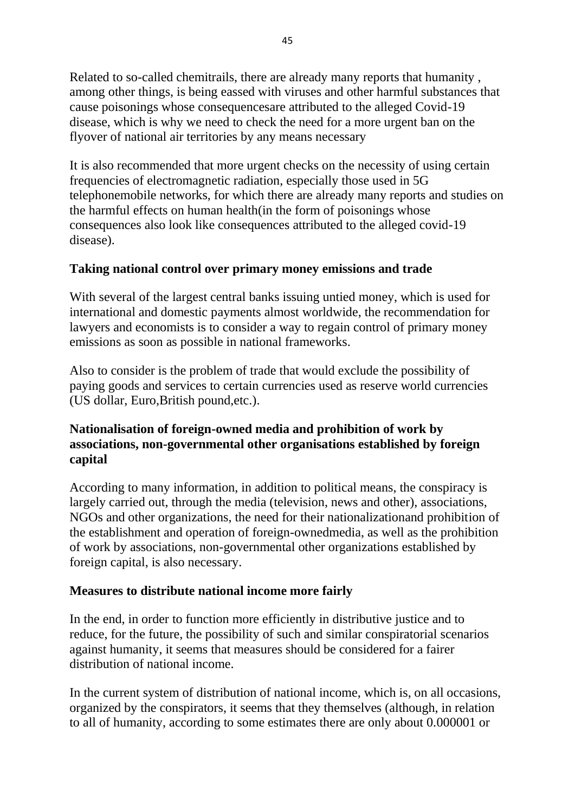Related to so-called chemitrails, there are already many reports that humanity , among other things, is being eassed with viruses and other harmful substances that cause poisonings whose consequencesare attributed to the alleged Covid-19 disease, which is why we need to check the need for a more urgent ban on the flyover of national air territories by any means necessary

It is also recommended that more urgent checks on the necessity of using certain frequencies of electromagnetic radiation, especially those used in 5G telephonemobile networks, for which there are already many reports and studies on the harmful effects on human health(in the form of poisonings whose consequences also look like consequences attributed to the alleged covid-19 disease).

### **Taking national control over primary money emissions and trade**

With several of the largest central banks issuing untied money, which is used for international and domestic payments almost worldwide, the recommendation for lawyers and economists is to consider a way to regain control of primary money emissions as soon as possible in national frameworks.

Also to consider is the problem of trade that would exclude the possibility of paying goods and services to certain currencies used as reserve world currencies (US dollar, Euro,British pound,etc.).

### **Nationalisation of foreign-owned media and prohibition of work by associations, non-governmental other organisations established by foreign capital**

According to many information, in addition to political means, the conspiracy is largely carried out, through the media (television, news and other), associations, NGOs and other organizations, the need for their nationalizationand prohibition of the establishment and operation of foreign-ownedmedia, as well as the prohibition of work by associations, non-governmental other organizations established by foreign capital, is also necessary.

# **Measures to distribute national income more fairly**

In the end, in order to function more efficiently in distributive justice and to reduce, for the future, the possibility of such and similar conspiratorial scenarios against humanity, it seems that measures should be considered for a fairer distribution of national income.

In the current system of distribution of national income, which is, on all occasions, organized by the conspirators, it seems that they themselves (although, in relation to all of humanity, according to some estimates there are only about 0.000001 or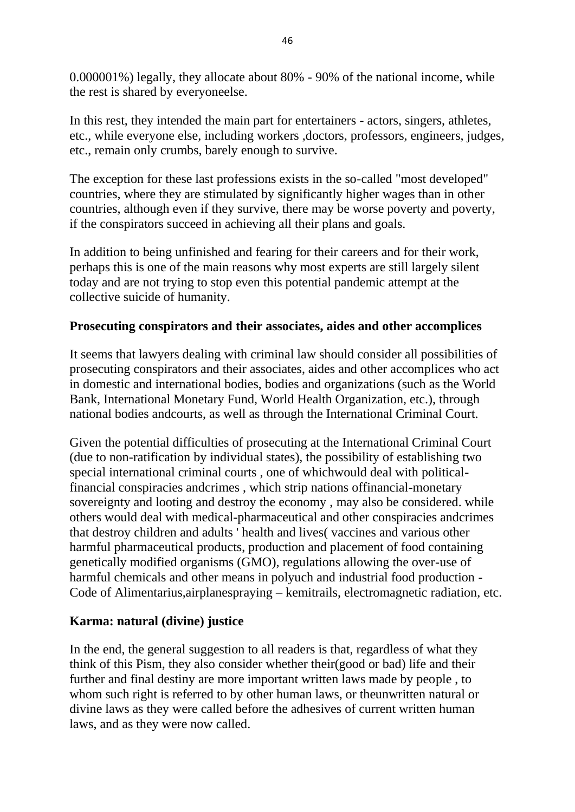0.000001%) legally, they allocate about 80% - 90% of the national income, while the rest is shared by everyoneelse.

In this rest, they intended the main part for entertainers - actors, singers, athletes, etc., while everyone else, including workers ,doctors, professors, engineers, judges, etc., remain only crumbs, barely enough to survive.

The exception for these last professions exists in the so-called "most developed" countries, where they are stimulated by significantly higher wages than in other countries, although even if they survive, there may be worse poverty and poverty, if the conspirators succeed in achieving all their plans and goals.

In addition to being unfinished and fearing for their careers and for their work, perhaps this is one of the main reasons why most experts are still largely silent today and are not trying to stop even this potential pandemic attempt at the collective suicide of humanity.

### **Prosecuting conspirators and their associates, aides and other accomplices**

It seems that lawyers dealing with criminal law should consider all possibilities of prosecuting conspirators and their associates, aides and other accomplices who act in domestic and international bodies, bodies and organizations (such as the World Bank, International Monetary Fund, World Health Organization, etc.), through national bodies andcourts, as well as through the International Criminal Court.

Given the potential difficulties of prosecuting at the International Criminal Court (due to non-ratification by individual states), the possibility of establishing two special international criminal courts , one of whichwould deal with politicalfinancial conspiracies andcrimes , which strip nations offinancial-monetary sovereignty and looting and destroy the economy , may also be considered. while others would deal with medical-pharmaceutical and other conspiracies andcrimes that destroy children and adults ' health and lives( vaccines and various other harmful pharmaceutical products, production and placement of food containing genetically modified organisms (GMO), regulations allowing the over-use of harmful chemicals and other means in polyuch and industrial food production - Code of Alimentarius,airplanespraying – kemitrails, electromagnetic radiation, etc.

### **Karma: natural (divine) justice**

In the end, the general suggestion to all readers is that, regardless of what they think of this Pism, they also consider whether their(good or bad) life and their further and final destiny are more important written laws made by people , to whom such right is referred to by other human laws, or theunwritten natural or divine laws as they were called before the adhesives of current written human laws, and as they were now called.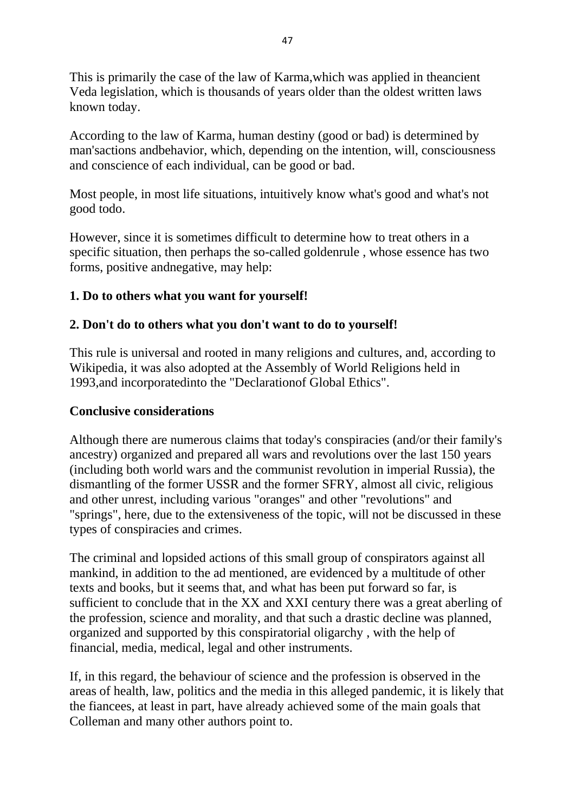This is primarily the case of the law of Karma,which was applied in theancient Veda legislation, which is thousands of years older than the oldest written laws known today.

According to the law of Karma, human destiny (good or bad) is determined by man'sactions andbehavior, which, depending on the intention, will, consciousness and conscience of each individual, can be good or bad.

Most people, in most life situations, intuitively know what's good and what's not good todo.

However, since it is sometimes difficult to determine how to treat others in a specific situation, then perhaps the so-called goldenrule , whose essence has two forms, positive andnegative, may help:

### **1. Do to others what you want for yourself!**

### **2. Don't do to others what you don't want to do to yourself!**

This rule is universal and rooted in many religions and cultures, and, according to Wikipedia, it was also adopted at the Assembly of World Religions held in 1993,and incorporatedinto the "Declarationof Global Ethics".

#### **Conclusive considerations**

Although there are numerous claims that today's conspiracies (and/or their family's ancestry) organized and prepared all wars and revolutions over the last 150 years (including both world wars and the communist revolution in imperial Russia), the dismantling of the former USSR and the former SFRY, almost all civic, religious and other unrest, including various "oranges" and other "revolutions" and "springs", here, due to the extensiveness of the topic, will not be discussed in these types of conspiracies and crimes.

The criminal and lopsided actions of this small group of conspirators against all mankind, in addition to the ad mentioned, are evidenced by a multitude of other texts and books, but it seems that, and what has been put forward so far, is sufficient to conclude that in the XX and XXI century there was a great aberling of the profession, science and morality, and that such a drastic decline was planned, organized and supported by this conspiratorial oligarchy , with the help of financial, media, medical, legal and other instruments.

If, in this regard, the behaviour of science and the profession is observed in the areas of health, law, politics and the media in this alleged pandemic, it is likely that the fiancees, at least in part, have already achieved some of the main goals that Colleman and many other authors point to.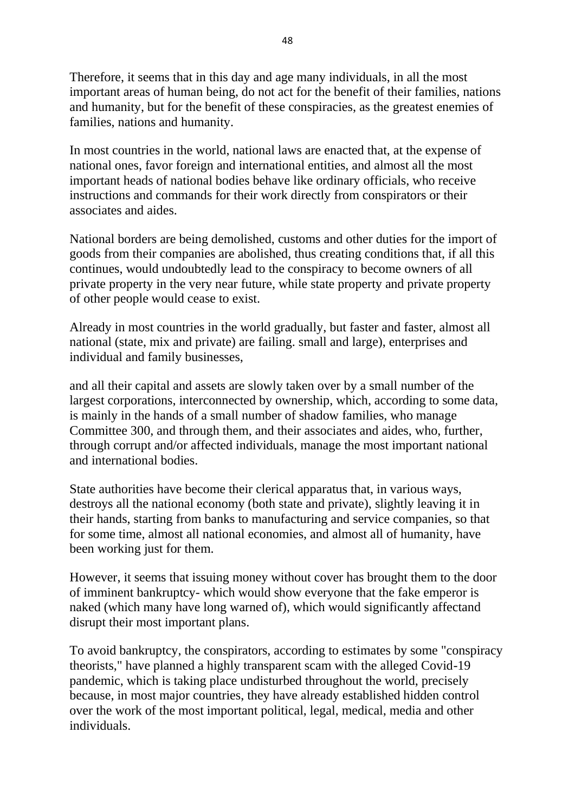Therefore, it seems that in this day and age many individuals, in all the most important areas of human being, do not act for the benefit of their families, nations and humanity, but for the benefit of these conspiracies, as the greatest enemies of families, nations and humanity.

In most countries in the world, national laws are enacted that, at the expense of national ones, favor foreign and international entities, and almost all the most important heads of national bodies behave like ordinary officials, who receive instructions and commands for their work directly from conspirators or their associates and aides.

National borders are being demolished, customs and other duties for the import of goods from their companies are abolished, thus creating conditions that, if all this continues, would undoubtedly lead to the conspiracy to become owners of all private property in the very near future, while state property and private property of other people would cease to exist.

Already in most countries in the world gradually, but faster and faster, almost all national (state, mix and private) are failing. small and large), enterprises and individual and family businesses,

and all their capital and assets are slowly taken over by a small number of the largest corporations, interconnected by ownership, which, according to some data, is mainly in the hands of a small number of shadow families, who manage Committee 300, and through them, and their associates and aides, who, further, through corrupt and/or affected individuals, manage the most important national and international bodies.

State authorities have become their clerical apparatus that, in various ways, destroys all the national economy (both state and private), slightly leaving it in their hands, starting from banks to manufacturing and service companies, so that for some time, almost all national economies, and almost all of humanity, have been working just for them.

However, it seems that issuing money without cover has brought them to the door of imminent bankruptcy- which would show everyone that the fake emperor is naked (which many have long warned of), which would significantly affectand disrupt their most important plans.

To avoid bankruptcy, the conspirators, according to estimates by some "conspiracy theorists," have planned a highly transparent scam with the alleged Covid-19 pandemic, which is taking place undisturbed throughout the world, precisely because, in most major countries, they have already established hidden control over the work of the most important political, legal, medical, media and other individuals.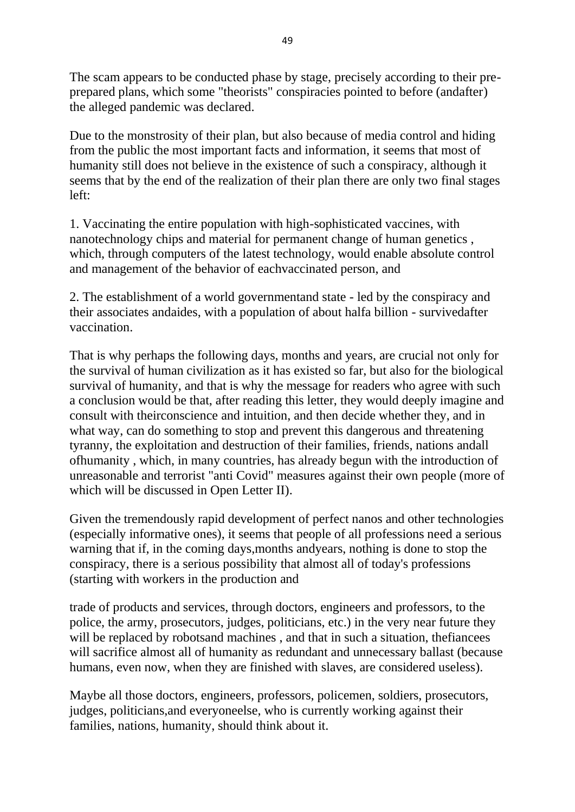The scam appears to be conducted phase by stage, precisely according to their preprepared plans, which some "theorists" conspiracies pointed to before (andafter) the alleged pandemic was declared.

Due to the monstrosity of their plan, but also because of media control and hiding from the public the most important facts and information, it seems that most of humanity still does not believe in the existence of such a conspiracy, although it seems that by the end of the realization of their plan there are only two final stages left:

1. Vaccinating the entire population with high-sophisticated vaccines, with nanotechnology chips and material for permanent change of human genetics , which, through computers of the latest technology, would enable absolute control and management of the behavior of eachvaccinated person, and

2. The establishment of a world governmentand state - led by the conspiracy and their associates andaides, with a population of about halfa billion - survivedafter vaccination.

That is why perhaps the following days, months and years, are crucial not only for the survival of human civilization as it has existed so far, but also for the biological survival of humanity, and that is why the message for readers who agree with such a conclusion would be that, after reading this letter, they would deeply imagine and consult with theirconscience and intuition, and then decide whether they, and in what way, can do something to stop and prevent this dangerous and threatening tyranny, the exploitation and destruction of their families, friends, nations andall ofhumanity , which, in many countries, has already begun with the introduction of unreasonable and terrorist "anti Covid" measures against their own people (more of which will be discussed in Open Letter II).

Given the tremendously rapid development of perfect nanos and other technologies (especially informative ones), it seems that people of all professions need a serious warning that if, in the coming days,months andyears, nothing is done to stop the conspiracy, there is a serious possibility that almost all of today's professions (starting with workers in the production and

trade of products and services, through doctors, engineers and professors, to the police, the army, prosecutors, judges, politicians, etc.) in the very near future they will be replaced by robotsand machines, and that in such a situation, the fiancees will sacrifice almost all of humanity as redundant and unnecessary ballast (because humans, even now, when they are finished with slaves, are considered useless).

Maybe all those doctors, engineers, professors, policemen, soldiers, prosecutors, judges, politicians,and everyoneelse, who is currently working against their families, nations, humanity, should think about it.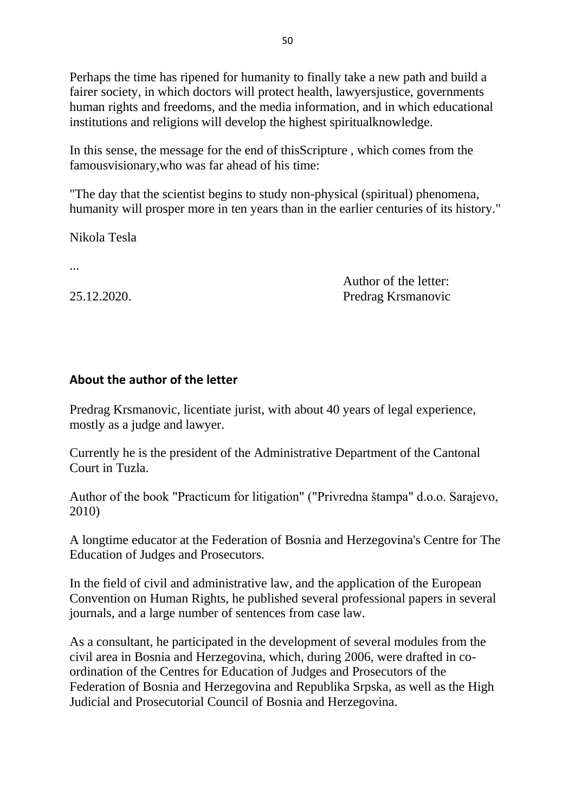Perhaps the time has ripened for humanity to finally take a new path and build a fairer society, in which doctors will protect health, lawyersjustice, governments human rights and freedoms, and the media information, and in which educational institutions and religions will develop the highest spiritualknowledge.

In this sense, the message for the end of thisScripture , which comes from the famousvisionary,who was far ahead of his time:

"The day that the scientist begins to study non-physical (spiritual) phenomena, humanity will prosper more in ten years than in the earlier centuries of its history."

Nikola Tesla

...

Author of the letter: 25.12.2020. Predrag Krsmanovic

#### **About the author of the letter**

Predrag Krsmanovic, licentiate jurist, with about 40 years of legal experience, mostly as a judge and lawyer.

Currently he is the president of the Administrative Department of the Cantonal Court in Tuzla.

Author of the book "Practicum for litigation" ("Privredna štampa" d.o.o. Sarajevo, 2010)

A longtime educator at the Federation of Bosnia and Herzegovina's Centre for The Education of Judges and Prosecutors.

In the field of civil and administrative law, and the application of the European Convention on Human Rights, he published several professional papers in several journals, and a large number of sentences from case law.

As a consultant, he participated in the development of several modules from the civil area in Bosnia and Herzegovina, which, during 2006, were drafted in coordination of the Centres for Education of Judges and Prosecutors of the Federation of Bosnia and Herzegovina and Republika Srpska, as well as the High Judicial and Prosecutorial Council of Bosnia and Herzegovina.